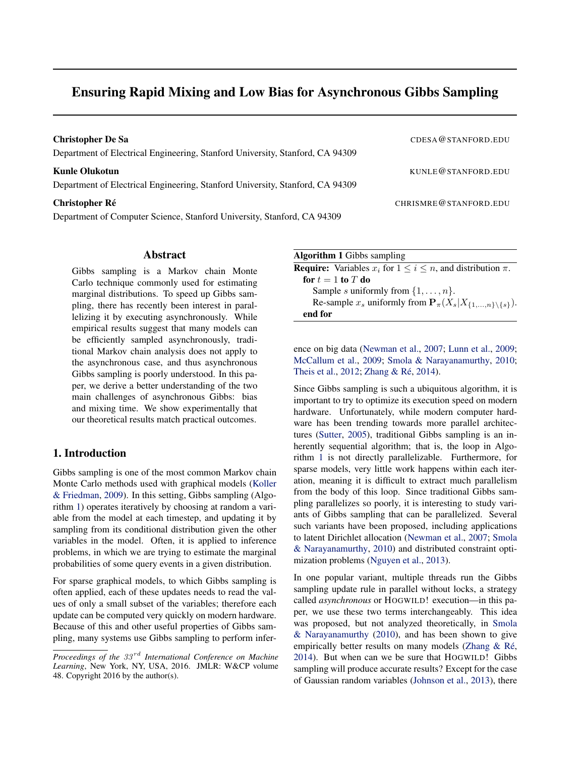# Ensuring Rapid Mixing and Low Bias for Asynchronous Gibbs Sampling

| <b>Christopher De Sa</b><br>Department of Electrical Engineering, Stanford University, Stanford, CA 94309 | CDESA@STANFORD.EDU    |
|-----------------------------------------------------------------------------------------------------------|-----------------------|
| <b>Kunle Olukotun</b><br>Department of Electrical Engineering, Stanford University, Stanford, CA 94309    | KUNLE@STANFORD.EDU    |
| <b>Christopher Ré</b><br>Department of Computer Science, Stanford University, Stanford, CA 94309          | CHRISMRE@STANFORD.EDU |

### Abstract

Gibbs sampling is a Markov chain Monte Carlo technique commonly used for estimating marginal distributions. To speed up Gibbs sampling, there has recently been interest in parallelizing it by executing asynchronously. While empirical results suggest that many models can be efficiently sampled asynchronously, traditional Markov chain analysis does not apply to the asynchronous case, and thus asynchronous Gibbs sampling is poorly understood. In this paper, we derive a better understanding of the two main challenges of asynchronous Gibbs: bias and mixing time. We show experimentally that our theoretical results match practical outcomes.

## 1. Introduction

Gibbs sampling is one of the most common Markov chain Monte Carlo methods used with graphical models [\(Koller](#page-8-0) [& Friedman,](#page-8-0) [2009\)](#page-8-0). In this setting, Gibbs sampling (Algorithm 1) operates iteratively by choosing at random a variable from the model at each timestep, and updating it by sampling from its conditional distribution given the other variables in the model. Often, it is applied to inference problems, in which we are trying to estimate the marginal probabilities of some query events in a given distribution.

For sparse graphical models, to which Gibbs sampling is often applied, each of these updates needs to read the values of only a small subset of the variables; therefore each update can be computed very quickly on modern hardware. Because of this and other useful properties of Gibbs sampling, many systems use Gibbs sampling to perform infer-

| <b>Algorithm 1</b> Gibbs sampling                                                   |
|-------------------------------------------------------------------------------------|
| <b>Require:</b> Variables $x_i$ for $1 \leq i \leq n$ , and distribution $\pi$ .    |
| for $t=1$ to T do                                                                   |
| Sample s uniformly from $\{1, \ldots, n\}$ .                                        |
| Re-sample $x_s$ uniformly from $\mathbf{P}_{\pi}(X_s X_{\{1,,n\}\setminus\{s\}})$ . |
| end for                                                                             |

ence on big data [\(Newman et al.,](#page-8-0) [2007;](#page-8-0) [Lunn et al.,](#page-8-0) [2009;](#page-8-0) [McCallum et al.,](#page-8-0) [2009;](#page-8-0) [Smola & Narayanamurthy,](#page-9-0) [2010;](#page-9-0) [Theis et al.,](#page-9-0) [2012;](#page-9-0) Zhang & Ré, [2014\)](#page-9-0).

Since Gibbs sampling is such a ubiquitous algorithm, it is important to try to optimize its execution speed on modern hardware. Unfortunately, while modern computer hardware has been trending towards more parallel architectures [\(Sutter,](#page-9-0) [2005\)](#page-9-0), traditional Gibbs sampling is an inherently sequential algorithm; that is, the loop in Algorithm 1 is not directly parallelizable. Furthermore, for sparse models, very little work happens within each iteration, meaning it is difficult to extract much parallelism from the body of this loop. Since traditional Gibbs sampling parallelizes so poorly, it is interesting to study variants of Gibbs sampling that can be parallelized. Several such variants have been proposed, including applications to latent Dirichlet allocation [\(Newman et al.,](#page-8-0) [2007;](#page-8-0) [Smola](#page-9-0) [& Narayanamurthy,](#page-9-0) [2010\)](#page-9-0) and distributed constraint optimization problems [\(Nguyen et al.,](#page-8-0) [2013\)](#page-8-0).

In one popular variant, multiple threads run the Gibbs sampling update rule in parallel without locks, a strategy called *asynchronous* or HOGWILD! execution—in this paper, we use these two terms interchangeably. This idea was proposed, but not analyzed theoretically, in [Smola](#page-9-0) [& Narayanamurthy](#page-9-0) [\(2010\)](#page-9-0), and has been shown to give empirically better results on many models (Zhang & Ré, [2014\)](#page-9-0). But when can we be sure that HOGWILD! Gibbs sampling will produce accurate results? Except for the case of Gaussian random variables [\(Johnson et al.,](#page-8-0) [2013\)](#page-8-0), there

*Proceedings of the 33<sup>rd</sup> International Conference on Machine Learning*, New York, NY, USA, 2016. JMLR: W&CP volume 48. Copyright 2016 by the author(s).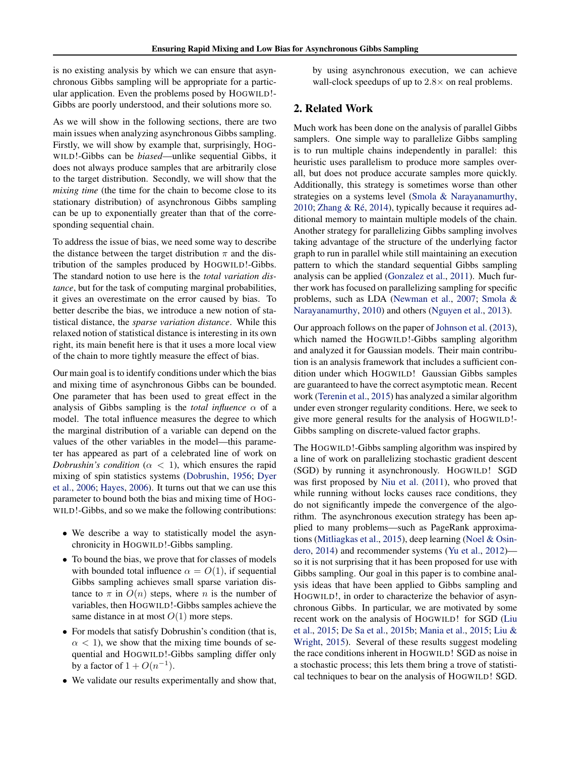is no existing analysis by which we can ensure that asynchronous Gibbs sampling will be appropriate for a particular application. Even the problems posed by HOGWILD!- Gibbs are poorly understood, and their solutions more so.

As we will show in the following sections, there are two main issues when analyzing asynchronous Gibbs sampling. Firstly, we will show by example that, surprisingly, HOG-WILD!-Gibbs can be *biased*—unlike sequential Gibbs, it does not always produce samples that are arbitrarily close to the target distribution. Secondly, we will show that the *mixing time* (the time for the chain to become close to its stationary distribution) of asynchronous Gibbs sampling can be up to exponentially greater than that of the corresponding sequential chain.

To address the issue of bias, we need some way to describe the distance between the target distribution  $\pi$  and the distribution of the samples produced by HOGWILD!-Gibbs. The standard notion to use here is the *total variation distance*, but for the task of computing marginal probabilities, it gives an overestimate on the error caused by bias. To better describe the bias, we introduce a new notion of statistical distance, the *sparse variation distance*. While this relaxed notion of statistical distance is interesting in its own right, its main benefit here is that it uses a more local view of the chain to more tightly measure the effect of bias.

Our main goal is to identify conditions under which the bias and mixing time of asynchronous Gibbs can be bounded. One parameter that has been used to great effect in the analysis of Gibbs sampling is the *total influence*  $\alpha$  of a model. The total influence measures the degree to which the marginal distribution of a variable can depend on the values of the other variables in the model—this parameter has appeared as part of a celebrated line of work on *Dobrushin's condition* ( $\alpha$  < 1), which ensures the rapid mixing of spin statistics systems [\(Dobrushin,](#page-8-0) [1956;](#page-8-0) [Dyer](#page-8-0) [et al.,](#page-8-0) [2006;](#page-8-0) [Hayes,](#page-8-0) [2006\)](#page-8-0). It turns out that we can use this parameter to bound both the bias and mixing time of HOG-WILD!-Gibbs, and so we make the following contributions:

- We describe a way to statistically model the asynchronicity in HOGWILD!-Gibbs sampling.
- To bound the bias, we prove that for classes of models with bounded total influence  $\alpha = O(1)$ , if sequential Gibbs sampling achieves small sparse variation distance to  $\pi$  in  $O(n)$  steps, where n is the number of variables, then HOGWILD!-Gibbs samples achieve the same distance in at most  $O(1)$  more steps.
- For models that satisfy Dobrushin's condition (that is,  $\alpha$  < 1), we show that the mixing time bounds of sequential and HOGWILD!-Gibbs sampling differ only by a factor of  $1 + O(n^{-1})$ .
- We validate our results experimentally and show that,

by using asynchronous execution, we can achieve wall-clock speedups of up to  $2.8\times$  on real problems.

### 2. Related Work

Much work has been done on the analysis of parallel Gibbs samplers. One simple way to parallelize Gibbs sampling is to run multiple chains independently in parallel: this heuristic uses parallelism to produce more samples overall, but does not produce accurate samples more quickly. Additionally, this strategy is sometimes worse than other strategies on a systems level [\(Smola & Narayanamurthy,](#page-9-0) [2010;](#page-9-0) Zhang & Ré, [2014\)](#page-9-0), typically because it requires additional memory to maintain multiple models of the chain. Another strategy for parallelizing Gibbs sampling involves taking advantage of the structure of the underlying factor graph to run in parallel while still maintaining an execution pattern to which the standard sequential Gibbs sampling analysis can be applied [\(Gonzalez et al.,](#page-8-0) [2011\)](#page-8-0). Much further work has focused on parallelizing sampling for specific problems, such as LDA [\(Newman et al.,](#page-8-0) [2007;](#page-8-0) [Smola &](#page-9-0) [Narayanamurthy,](#page-9-0) [2010\)](#page-9-0) and others [\(Nguyen et al.,](#page-8-0) [2013\)](#page-8-0).

Our approach follows on the paper of [Johnson et al.](#page-8-0) [\(2013\)](#page-8-0), which named the HOGWILD!-Gibbs sampling algorithm and analyzed it for Gaussian models. Their main contribution is an analysis framework that includes a sufficient condition under which HOGWILD! Gaussian Gibbs samples are guaranteed to have the correct asymptotic mean. Recent work [\(Terenin et al.,](#page-9-0) [2015\)](#page-9-0) has analyzed a similar algorithm under even stronger regularity conditions. Here, we seek to give more general results for the analysis of HOGWILD!- Gibbs sampling on discrete-valued factor graphs.

The HOGWILD!-Gibbs sampling algorithm was inspired by a line of work on parallelizing stochastic gradient descent (SGD) by running it asynchronously. HOGWILD! SGD was first proposed by [Niu et al.](#page-9-0) [\(2011\)](#page-9-0), who proved that while running without locks causes race conditions, they do not significantly impede the convergence of the algorithm. The asynchronous execution strategy has been applied to many problems—such as PageRank approximations [\(Mitliagkas et al.,](#page-8-0) [2015\)](#page-8-0), deep learning [\(Noel & Osin](#page-9-0)[dero,](#page-9-0) [2014\)](#page-9-0) and recommender systems [\(Yu et al.,](#page-9-0) [2012\)](#page-9-0) so it is not surprising that it has been proposed for use with Gibbs sampling. Our goal in this paper is to combine analysis ideas that have been applied to Gibbs sampling and HOGWILD!, in order to characterize the behavior of asynchronous Gibbs. In particular, we are motivated by some recent work on the analysis of HOGWILD! for SGD [\(Liu](#page-8-0) [et al.,](#page-8-0) [2015;](#page-8-0) [De Sa et al.,](#page-8-0) [2015b;](#page-8-0) [Mania et al.,](#page-8-0) [2015;](#page-8-0) [Liu &](#page-8-0) [Wright,](#page-8-0) [2015\)](#page-8-0). Several of these results suggest modeling the race conditions inherent in HOGWILD! SGD as noise in a stochastic process; this lets them bring a trove of statistical techniques to bear on the analysis of HOGWILD! SGD.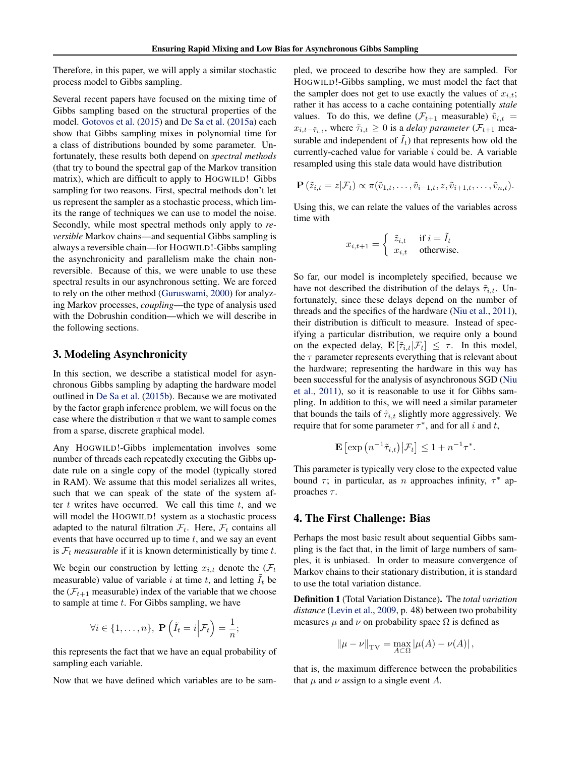Therefore, in this paper, we will apply a similar stochastic process model to Gibbs sampling.

Several recent papers have focused on the mixing time of Gibbs sampling based on the structural properties of the model. [Gotovos et al.](#page-8-0) [\(2015\)](#page-8-0) and [De Sa et al.](#page-8-0) [\(2015a\)](#page-8-0) each show that Gibbs sampling mixes in polynomial time for a class of distributions bounded by some parameter. Unfortunately, these results both depend on *spectral methods* (that try to bound the spectral gap of the Markov transition matrix), which are difficult to apply to HOGWILD! Gibbs sampling for two reasons. First, spectral methods don't let us represent the sampler as a stochastic process, which limits the range of techniques we can use to model the noise. Secondly, while most spectral methods only apply to *reversible* Markov chains—and sequential Gibbs sampling is always a reversible chain—for HOGWILD!-Gibbs sampling the asynchronicity and parallelism make the chain nonreversible. Because of this, we were unable to use these spectral results in our asynchronous setting. We are forced to rely on the other method [\(Guruswami,](#page-8-0) [2000\)](#page-8-0) for analyzing Markov processes, *coupling*—the type of analysis used with the Dobrushin condition—which we will describe in the following sections.

### 3. Modeling Asynchronicity

In this section, we describe a statistical model for asynchronous Gibbs sampling by adapting the hardware model outlined in [De Sa et al.](#page-8-0) [\(2015b\)](#page-8-0). Because we are motivated by the factor graph inference problem, we will focus on the case where the distribution  $\pi$  that we want to sample comes from a sparse, discrete graphical model.

Any HOGWILD!-Gibbs implementation involves some number of threads each repeatedly executing the Gibbs update rule on a single copy of the model (typically stored in RAM). We assume that this model serializes all writes, such that we can speak of the state of the system after  $t$  writes have occurred. We call this time  $t$ , and we will model the HOGWILD! system as a stochastic process adapted to the natural filtration  $\mathcal{F}_t$ . Here,  $\mathcal{F}_t$  contains all events that have occurred up to time  $t$ , and we say an event is  $\mathcal{F}_t$  *measurable* if it is known deterministically by time t.

We begin our construction by letting  $x_{i,t}$  denote the  $(\mathcal{F}_t)$ measurable) value of variable i at time t, and letting  $I_t$  be the  $(F_{t+1}$  measurable) index of the variable that we choose to sample at time  $t$ . For Gibbs sampling, we have

$$
\forall i \in \{1, \ldots, n\}, \ \mathbf{P}\left(\tilde{I}_t = i \middle| \mathcal{F}_t\right) = \frac{1}{n};
$$

this represents the fact that we have an equal probability of sampling each variable.

Now that we have defined which variables are to be sam-

pled, we proceed to describe how they are sampled. For HOGWILD!-Gibbs sampling, we must model the fact that the sampler does not get to use exactly the values of  $x_{i,t}$ ; rather it has access to a cache containing potentially *stale* values. To do this, we define  $(\mathcal{F}_{t+1}$  measurable)  $\tilde{v}_{i,t}$  =  $x_{i,t-\tilde{\tau}_{i,t}}$ , where  $\tilde{\tau}_{i,t} \geq 0$  is a *delay parameter* ( $\mathcal{F}_{t+1}$  measurable and independent of  $I_t$ ) that represents how old the currently-cached value for variable  $i$  could be. A variable resampled using this stale data would have distribution

$$
\mathbf{P}(\tilde{z}_{i,t}=z|\mathcal{F}_t) \propto \pi(\tilde{v}_{1,t},\ldots,\tilde{v}_{i-1,t},z,\tilde{v}_{i+1,t},\ldots,\tilde{v}_{n,t}).
$$

Using this, we can relate the values of the variables across time with

$$
x_{i,t+1} = \begin{cases} \tilde{z}_{i,t} & \text{if } i = \tilde{I}_t \\ x_{i,t} & \text{otherwise.} \end{cases}
$$

So far, our model is incompletely specified, because we have not described the distribution of the delays  $\tilde{\tau}_{i,t}$ . Unfortunately, since these delays depend on the number of threads and the specifics of the hardware [\(Niu et al.,](#page-9-0) [2011\)](#page-9-0), their distribution is difficult to measure. Instead of specifying a particular distribution, we require only a bound on the expected delay,  $\mathbf{E}[\tilde{\tau}_{i,t}|\mathcal{F}_t] \leq \tau$ . In this model, the  $\tau$  parameter represents everything that is relevant about the hardware; representing the hardware in this way has been successful for the analysis of asynchronous SGD [\(Niu](#page-9-0) [et al.,](#page-9-0) [2011\)](#page-9-0), so it is reasonable to use it for Gibbs sampling. In addition to this, we will need a similar parameter that bounds the tails of  $\tilde{\tau}_{i,t}$  slightly more aggressively. We require that for some parameter  $\tau^*$ , and for all i and t,

$$
\mathbf{E}\left[\exp\left(n^{-1}\tilde{\tau}_{i,t}\right)\big|\mathcal{F}_t\right] \leq 1 + n^{-1}\tau^*.
$$

This parameter is typically very close to the expected value bound  $\tau$ ; in particular, as *n* approaches infinity,  $\tau^*$  approaches  $\tau$ .

### 4. The First Challenge: Bias

Perhaps the most basic result about sequential Gibbs sampling is the fact that, in the limit of large numbers of samples, it is unbiased. In order to measure convergence of Markov chains to their stationary distribution, it is standard to use the total variation distance.

Definition 1 (Total Variation Distance). The *total variation distance* [\(Levin et al.,](#page-8-0) [2009,](#page-8-0) p. 48) between two probability measures  $\mu$  and  $\nu$  on probability space  $\Omega$  is defined as

$$
||\mu - \nu||_{TV} = \max_{A \subset \Omega} |\mu(A) - \nu(A)|,
$$

that is, the maximum difference between the probabilities that  $\mu$  and  $\nu$  assign to a single event A.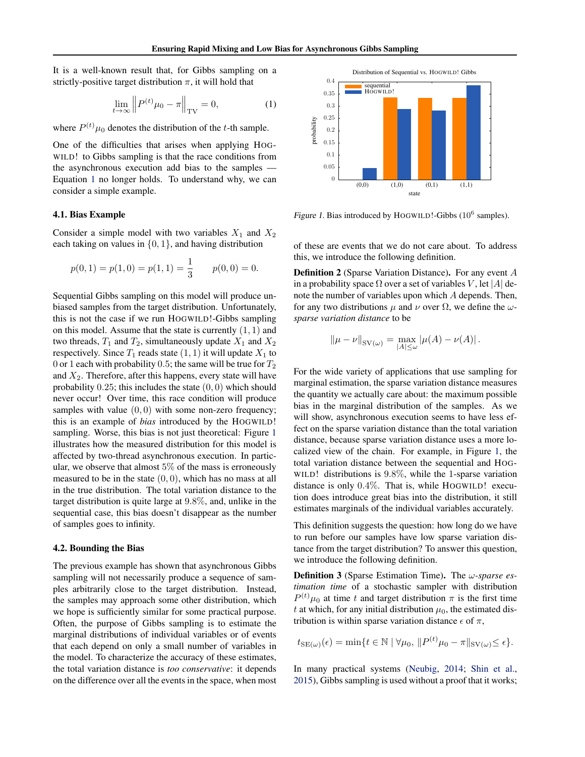It is a well-known result that, for Gibbs sampling on a strictly-positive target distribution  $\pi$ , it will hold that

$$
\lim_{t \to \infty} \left\| P^{(t)} \mu_0 - \pi \right\|_{\text{TV}} = 0,\tag{1}
$$

where  $P^{(t)}\mu_0$  denotes the distribution of the t-th sample.

One of the difficulties that arises when applying HOG-WILD! to Gibbs sampling is that the race conditions from the asynchronous execution add bias to the samples — Equation 1 no longer holds. To understand why, we can consider a simple example.

#### 4.1. Bias Example

Consider a simple model with two variables  $X_1$  and  $X_2$ each taking on values in  $\{0, 1\}$ , and having distribution

$$
p(0, 1) = p(1, 0) = p(1, 1) = \frac{1}{3}
$$
  $p(0, 0) = 0.$ 

Sequential Gibbs sampling on this model will produce unbiased samples from the target distribution. Unfortunately, this is not the case if we run HOGWILD!-Gibbs sampling on this model. Assume that the state is currently  $(1, 1)$  and two threads,  $T_1$  and  $T_2$ , simultaneously update  $X_1$  and  $X_2$ respectively. Since  $T_1$  reads state  $(1, 1)$  it will update  $X_1$  to 0 or 1 each with probability 0.5; the same will be true for  $T_2$ and  $X_2$ . Therefore, after this happens, every state will have probability  $0.25$ ; this includes the state  $(0, 0)$  which should never occur! Over time, this race condition will produce samples with value  $(0, 0)$  with some non-zero frequency; this is an example of *bias* introduced by the HOGWILD! sampling. Worse, this bias is not just theoretical: Figure 1 illustrates how the measured distribution for this model is affected by two-thread asynchronous execution. In particular, we observe that almost  $5\%$  of the mass is erroneously measured to be in the state  $(0, 0)$ , which has no mass at all in the true distribution. The total variation distance to the target distribution is quite large at 9.8%, and, unlike in the sequential case, this bias doesn't disappear as the number of samples goes to infinity.

#### 4.2. Bounding the Bias

The previous example has shown that asynchronous Gibbs sampling will not necessarily produce a sequence of samples arbitrarily close to the target distribution. Instead, the samples may approach some other distribution, which we hope is sufficiently similar for some practical purpose. Often, the purpose of Gibbs sampling is to estimate the marginal distributions of individual variables or of events that each depend on only a small number of variables in the model. To characterize the accuracy of these estimates, the total variation distance is *too conservative*: it depends on the difference over all the events in the space, when most



Figure 1. Bias introduced by HOGWILD!-Gibbs  $(10^6 \text{ samples})$ .

of these are events that we do not care about. To address this, we introduce the following definition.

Definition 2 (Sparse Variation Distance). For any event A in a probability space  $\Omega$  over a set of variables V, let |A| denote the number of variables upon which A depends. Then, for any two distributions  $\mu$  and  $\nu$  over  $\Omega$ , we define the  $\omega$ *sparse variation distance* to be

$$
\|\mu - \nu\|_{\text{SV}(\omega)} = \max_{|A| \le \omega} |\mu(A) - \nu(A)|.
$$

For the wide variety of applications that use sampling for marginal estimation, the sparse variation distance measures the quantity we actually care about: the maximum possible bias in the marginal distribution of the samples. As we will show, asynchronous execution seems to have less effect on the sparse variation distance than the total variation distance, because sparse variation distance uses a more localized view of the chain. For example, in Figure 1, the total variation distance between the sequential and HOG-WILD! distributions is 9.8%, while the 1-sparse variation distance is only 0.4%. That is, while HOGWILD! execution does introduce great bias into the distribution, it still estimates marginals of the individual variables accurately.

This definition suggests the question: how long do we have to run before our samples have low sparse variation distance from the target distribution? To answer this question, we introduce the following definition.

Definition 3 (Sparse Estimation Time). The ω*-sparse estimation time* of a stochastic sampler with distribution  $P^{(t)}\mu_0$  at time t and target distribution  $\pi$  is the first time t at which, for any initial distribution  $\mu_0$ , the estimated distribution is within sparse variation distance  $\epsilon$  of  $\pi$ ,

$$
t_{\text{SE}(\omega)}(\epsilon) = \min \{ t \in \mathbb{N} \mid \forall \mu_0, \, \| P^{(t)} \mu_0 - \pi \|_{\text{SV}(\omega)} \le \epsilon \}.
$$

In many practical systems [\(Neubig,](#page-8-0) [2014;](#page-8-0) [Shin et al.,](#page-9-0) [2015\)](#page-9-0), Gibbs sampling is used without a proof that it works;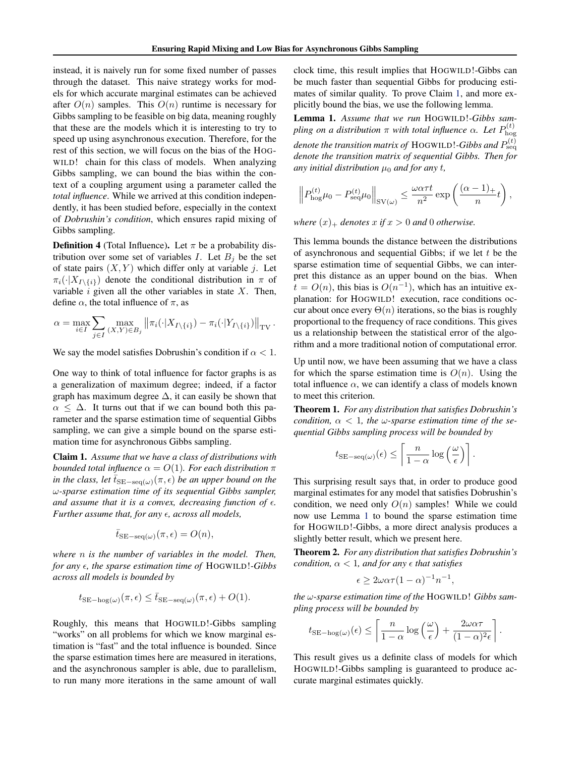<span id="page-4-0"></span>instead, it is naively run for some fixed number of passes through the dataset. This naive strategy works for models for which accurate marginal estimates can be achieved after  $O(n)$  samples. This  $O(n)$  runtime is necessary for Gibbs sampling to be feasible on big data, meaning roughly that these are the models which it is interesting to try to speed up using asynchronous execution. Therefore, for the rest of this section, we will focus on the bias of the HOG-WILD! chain for this class of models. When analyzing Gibbs sampling, we can bound the bias within the context of a coupling argument using a parameter called the *total influence*. While we arrived at this condition independently, it has been studied before, especially in the context of *Dobrushin's condition*, which ensures rapid mixing of Gibbs sampling.

**Definition 4** (Total Influence). Let  $\pi$  be a probability distribution over some set of variables I. Let  $B_i$  be the set of state pairs  $(X, Y)$  which differ only at variable j. Let  $\pi_i(\cdot|X_{I\setminus\{i\}})$  denote the conditional distribution in  $\pi$  of variable  $i$  given all the other variables in state  $X$ . Then, define  $\alpha$ , the total influence of  $\pi$ , as

$$
\alpha = \max_{i \in I} \sum_{j \in I} \max_{(X,Y) \in B_j} ||\pi_i(\cdot | X_{I \setminus \{i\}}) - \pi_i(\cdot | Y_{I \setminus \{i\}})||_{TV}.
$$

We say the model satisfies Dobrushin's condition if  $\alpha < 1$ .

One way to think of total influence for factor graphs is as a generalization of maximum degree; indeed, if a factor graph has maximum degree  $\Delta$ , it can easily be shown that  $\alpha \leq \Delta$ . It turns out that if we can bound both this parameter and the sparse estimation time of sequential Gibbs sampling, we can give a simple bound on the sparse estimation time for asynchronous Gibbs sampling.

Claim 1. *Assume that we have a class of distributions with bounded total influence*  $\alpha = O(1)$ *. For each distribution*  $\pi$ *in the class, let*  $\bar{t}_{\text{SE-seq}(\omega)}(\pi, \epsilon)$  *be an upper bound on the* ω*-sparse estimation time of its sequential Gibbs sampler, and assume that it is a convex, decreasing function of*  $\epsilon$ . *Further assume that, for any*  $\epsilon$ , *across all models*,

$$
\bar{t}_{\text{SE-seq}(\omega)}(\pi,\epsilon) = O(n),
$$

*where* n *is the number of variables in the model. Then, for any*  $\epsilon$ *, the sparse estimation time of HOGWILD!-Gibbs across all models is bounded by*

$$
t_{\text{SE-hog}(\omega)}(\pi,\epsilon) \leq \bar{t}_{\text{SE-seq}(\omega)}(\pi,\epsilon) + O(1).
$$

Roughly, this means that HOGWILD!-Gibbs sampling "works" on all problems for which we know marginal estimation is "fast" and the total influence is bounded. Since the sparse estimation times here are measured in iterations, and the asynchronous sampler is able, due to parallelism, to run many more iterations in the same amount of wall clock time, this result implies that HOGWILD!-Gibbs can be much faster than sequential Gibbs for producing estimates of similar quality. To prove Claim 1, and more explicitly bound the bias, we use the following lemma.

Lemma 1. *Assume that we run* HOGWILD!*-Gibbs sampling on a distribution*  $\pi$  *with total influence*  $\alpha$ *. Let*  $P_{\text{bos}}^{(t)}$ hog denote the transition matrix of  $\rm{HOGWILD}$ !-Gibbs and  $P_{\rm{seq}}^{(t)}$ *denote the transition matrix of sequential Gibbs. Then for any initial distribution*  $\mu_0$  *and for any t,* 

$$
\left\| P_{\text{hog}}^{(t)} \mu_0 - P_{\text{seq}}^{(t)} \mu_0 \right\|_{\text{SV}(\omega)} \le \frac{\omega \alpha \tau t}{n^2} \exp\left(\frac{(\alpha - 1)_+}{n} t\right),\,
$$

*where*  $(x)$ <sub>+</sub> *denotes*  $x$  *if*  $x > 0$  *and* 0 *otherwise.* 

This lemma bounds the distance between the distributions of asynchronous and sequential Gibbs; if we let  $t$  be the sparse estimation time of sequential Gibbs, we can interpret this distance as an upper bound on the bias. When  $t = O(n)$ , this bias is  $O(n^{-1})$ , which has an intuitive explanation: for HOGWILD! execution, race conditions occur about once every  $\Theta(n)$  iterations, so the bias is roughly proportional to the frequency of race conditions. This gives us a relationship between the statistical error of the algorithm and a more traditional notion of computational error.

Up until now, we have been assuming that we have a class for which the sparse estimation time is  $O(n)$ . Using the total influence  $\alpha$ , we can identify a class of models known to meet this criterion.

Theorem 1. *For any distribution that satisfies Dobrushin's condition,*  $\alpha$  < 1*, the*  $\omega$ -sparse estimation time of the se*quential Gibbs sampling process will be bounded by*

$$
t_{\text{SE-seq}(\omega)}(\epsilon) \le \left\lceil \frac{n}{1-\alpha} \log \left( \frac{\omega}{\epsilon} \right) \right\rceil
$$

.

.

This surprising result says that, in order to produce good marginal estimates for any model that satisfies Dobrushin's condition, we need only  $O(n)$  samples! While we could now use Lemma 1 to bound the sparse estimation time for HOGWILD!-Gibbs, a more direct analysis produces a slightly better result, which we present here.

Theorem 2. *For any distribution that satisfies Dobrushin's condition,*  $\alpha$  < 1*, and for any*  $\epsilon$  *that satisfies* 

$$
\epsilon \ge 2\omega\alpha\tau (1-\alpha)^{-1}n^{-1},
$$

*the* ω*-sparse estimation time of the* HOGWILD! *Gibbs sampling process will be bounded by*

$$
t_{\text{SE-hog}(\omega)}(\epsilon) \le \left[ \frac{n}{1-\alpha} \log \left( \frac{\omega}{\epsilon} \right) + \frac{2\omega\alpha\tau}{(1-\alpha)^2 \epsilon} \right]
$$

This result gives us a definite class of models for which HOGWILD!-Gibbs sampling is guaranteed to produce accurate marginal estimates quickly.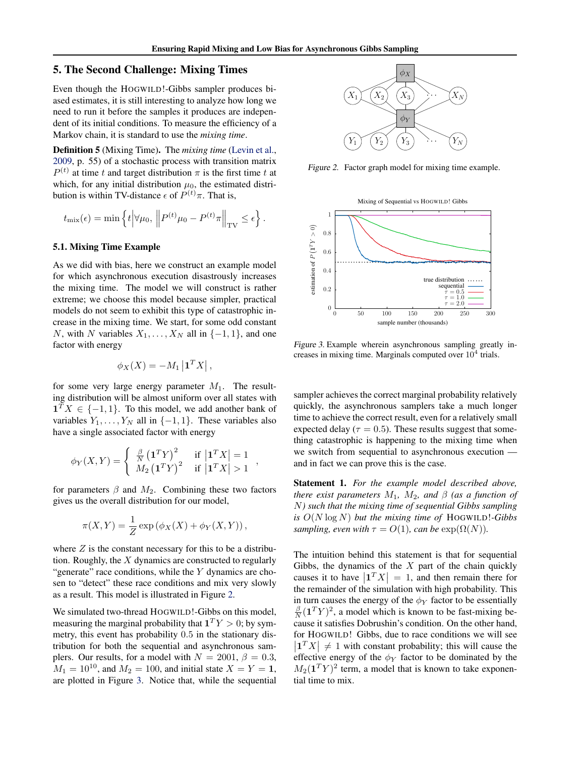### <span id="page-5-0"></span>5. The Second Challenge: Mixing Times

Even though the HOGWILD!-Gibbs sampler produces biased estimates, it is still interesting to analyze how long we need to run it before the samples it produces are independent of its initial conditions. To measure the efficiency of a Markov chain, it is standard to use the *mixing time*.

Definition 5 (Mixing Time). The *mixing time* [\(Levin et al.,](#page-8-0) [2009,](#page-8-0) p. 55) of a stochastic process with transition matrix  $P^{(t)}$  at time t and target distribution  $\pi$  is the first time t at which, for any initial distribution  $\mu_0$ , the estimated distribution is within TV-distance  $\epsilon$  of  $P^{(t)}\pi$ . That is,

$$
t_{\text{mix}}(\epsilon) = \min \left\{ t \middle| \forall \mu_0, \left\| P^{(t)} \mu_0 - P^{(t)} \pi \right\|_{\text{TV}} \le \epsilon \right\}.
$$

#### 5.1. Mixing Time Example

As we did with bias, here we construct an example model for which asynchronous execution disastrously increases the mixing time. The model we will construct is rather extreme; we choose this model because simpler, practical models do not seem to exhibit this type of catastrophic increase in the mixing time. We start, for some odd constant N, with N variables  $X_1, \ldots, X_N$  all in  $\{-1, 1\}$ , and one factor with energy

$$
\phi_X(X) = -M_1 \left| \mathbf{1}^T X \right|,
$$

for some very large energy parameter  $M_1$ . The resulting distribution will be almost uniform over all states with  $\mathbf{1}^T X \in \{-1, 1\}$ . To this model, we add another bank of variables  $Y_1, \ldots, Y_N$  all in  $\{-1, 1\}$ . These variables also have a single associated factor with energy

$$
\phi_Y(X,Y) = \begin{cases} \frac{\beta}{N} \left(\mathbf{1}^T Y\right)^2 & \text{if } \left|\mathbf{1}^T X\right| = 1\\ M_2 \left(\mathbf{1}^T Y\right)^2 & \text{if } \left|\mathbf{1}^T X\right| > 1 \end{cases}
$$

,

for parameters  $\beta$  and  $M_2$ . Combining these two factors gives us the overall distribution for our model,

$$
\pi(X,Y) = \frac{1}{Z} \exp(\phi_X(X) + \phi_Y(X,Y)),
$$

where  $Z$  is the constant necessary for this to be a distribution. Roughly, the X dynamics are constructed to regularly "generate" race conditions, while the  $Y$  dynamics are chosen to "detect" these race conditions and mix very slowly as a result. This model is illustrated in Figure 2.

We simulated two-thread HOGWILD!-Gibbs on this model, measuring the marginal probability that  $\mathbf{1}^T Y > 0$ ; by symmetry, this event has probability 0.5 in the stationary distribution for both the sequential and asynchronous samplers. Our results, for a model with  $N = 2001$ ,  $\beta = 0.3$ ,  $M_1 = 10^{10}$ , and  $M_2 = 100$ , and initial state  $X = Y = 1$ , are plotted in Figure 3. Notice that, while the sequential



Figure 2. Factor graph model for mixing time example.



Figure 3. Example wherein asynchronous sampling greatly increases in mixing time. Marginals computed over  $10^4$  trials.

sampler achieves the correct marginal probability relatively quickly, the asynchronous samplers take a much longer time to achieve the correct result, even for a relatively small expected delay ( $\tau = 0.5$ ). These results suggest that something catastrophic is happening to the mixing time when we switch from sequential to asynchronous execution and in fact we can prove this is the case.

Statement 1. *For the example model described above, there exist parameters*  $M_1$ ,  $M_2$ , and  $\beta$  (as a function of N*) such that the mixing time of sequential Gibbs sampling is* O(N log N) *but the mixing time of* HOGWILD!*-Gibbs sampling, even with*  $\tau = O(1)$ *, can be*  $\exp(\Omega(N))$ *.* 

The intuition behind this statement is that for sequential Gibbs, the dynamics of the  $X$  part of the chain quickly causes it to have  $\left|1^T X\right| = 1$ , and then remain there for the remainder of the simulation with high probability. This in turn causes the energy of the  $\phi_Y$  factor to be essentially  $\frac{\beta}{N}(\mathbf{1}^T Y)^2$ , a model which is known to be fast-mixing because it satisfies Dobrushin's condition. On the other hand, for HOGWILD! Gibbs, due to race conditions we will see  $\left| \begin{array}{c} 1^T X \\ \end{array} \right| \neq 1$  with constant probability; this will cause the effective energy of the  $\phi_Y$  factor to be dominated by the  $M_2(\mathbf{1}^T Y)^2$  term, a model that is known to take exponential time to mix.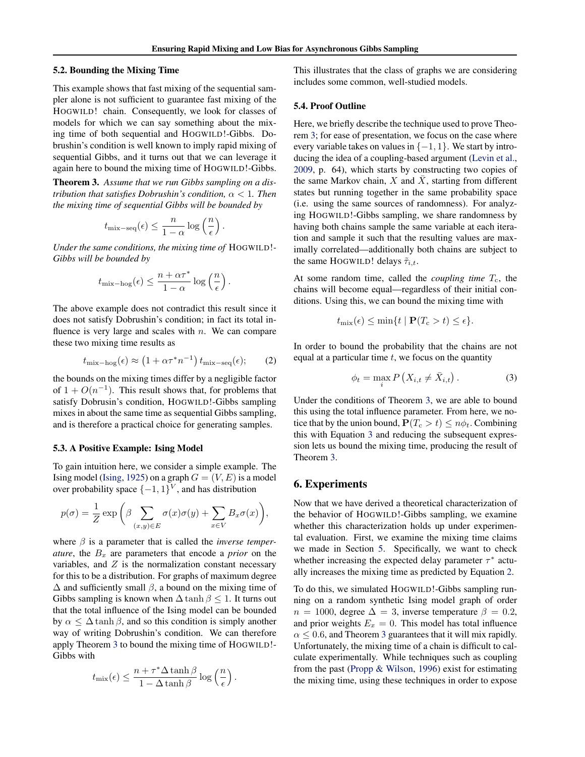#### <span id="page-6-0"></span>5.2. Bounding the Mixing Time

This example shows that fast mixing of the sequential sampler alone is not sufficient to guarantee fast mixing of the HOGWILD! chain. Consequently, we look for classes of models for which we can say something about the mixing time of both sequential and HOGWILD!-Gibbs. Dobrushin's condition is well known to imply rapid mixing of sequential Gibbs, and it turns out that we can leverage it again here to bound the mixing time of HOGWILD!-Gibbs.

Theorem 3. *Assume that we run Gibbs sampling on a distribution that satisfies Dobrushin's condition,* α < 1*. Then the mixing time of sequential Gibbs will be bounded by*

$$
t_{\text{mix-seq}}(\epsilon) \leq \frac{n}{1-\alpha} \log \left(\frac{n}{\epsilon}\right).
$$

*Under the same conditions, the mixing time of* HOGWILD!*- Gibbs will be bounded by*

$$
t_{\text{mix}-\text{hog}}(\epsilon) \leq \frac{n+\alpha\tau^*}{1-\alpha}\log\left(\frac{n}{\epsilon}\right).
$$

The above example does not contradict this result since it does not satisfy Dobrushin's condition; in fact its total influence is very large and scales with  $n$ . We can compare these two mixing time results as

$$
t_{\text{mix}-\text{hog}}(\epsilon) \approx (1 + \alpha \tau^* n^{-1}) t_{\text{mix}-\text{seq}}(\epsilon); \qquad (2)
$$

the bounds on the mixing times differ by a negligible factor of  $1 + O(n^{-1})$ . This result shows that, for problems that satisfy Dobrusin's condition, HOGWILD!-Gibbs sampling mixes in about the same time as sequential Gibbs sampling, and is therefore a practical choice for generating samples.

#### 5.3. A Positive Example: Ising Model

To gain intuition here, we consider a simple example. The Ising model [\(Ising,](#page-8-0) [1925\)](#page-8-0) on a graph  $G = (V, E)$  is a model over probability space  $\{-1,1\}^V$ , and has distribution

$$
p(\sigma) = \frac{1}{Z} \exp \bigg( \beta \sum_{(x,y) \in E} \sigma(x) \sigma(y) + \sum_{x \in V} B_x \sigma(x) \bigg),
$$

where  $\beta$  is a parameter that is called the *inverse temperature*, the  $B_x$  are parameters that encode a *prior* on the variables, and  $Z$  is the normalization constant necessary for this to be a distribution. For graphs of maximum degree  $\Delta$  and sufficiently small  $\beta$ , a bound on the mixing time of Gibbs sampling is known when  $\Delta \tanh \beta \leq 1$ . It turns out that the total influence of the Ising model can be bounded by  $\alpha \leq \Delta \tanh \beta$ , and so this condition is simply another way of writing Dobrushin's condition. We can therefore apply Theorem 3 to bound the mixing time of HOGWILD!- Gibbs with

$$
t_{\text{mix}}(\epsilon) \le \frac{n + \tau^* \Delta \tanh \beta}{1 - \Delta \tanh \beta} \log \left(\frac{n}{\epsilon}\right).
$$

This illustrates that the class of graphs we are considering includes some common, well-studied models.

#### 5.4. Proof Outline

Here, we briefly describe the technique used to prove Theorem 3; for ease of presentation, we focus on the case where every variable takes on values in  $\{-1, 1\}$ . We start by introducing the idea of a coupling-based argument [\(Levin et al.,](#page-8-0) [2009,](#page-8-0) p. 64), which starts by constructing two copies of the same Markov chain,  $X$  and  $\overline{X}$ , starting from different states but running together in the same probability space (i.e. using the same sources of randomness). For analyzing HOGWILD!-Gibbs sampling, we share randomness by having both chains sample the same variable at each iteration and sample it such that the resulting values are maximally correlated—additionally both chains are subject to the same HOGWILD! delays  $\tilde{\tau}_{i,t}$ .

At some random time, called the *coupling time*  $T_c$ , the chains will become equal—regardless of their initial conditions. Using this, we can bound the mixing time with

$$
t_{\text{mix}}(\epsilon) \le \min\{t \mid \mathbf{P}(T_{\text{c}} > t) \le \epsilon\}.
$$

In order to bound the probability that the chains are not equal at a particular time  $t$ , we focus on the quantity

$$
\phi_t = \max_i P\left(X_{i,t} \neq \bar{X}_{i,t}\right). \tag{3}
$$

Under the conditions of Theorem 3, we are able to bound this using the total influence parameter. From here, we notice that by the union bound,  $P(T_c > t) \leq n\phi_t$ . Combining this with Equation 3 and reducing the subsequent expression lets us bound the mixing time, producing the result of Theorem 3.

### 6. Experiments

Now that we have derived a theoretical characterization of the behavior of HOGWILD!-Gibbs sampling, we examine whether this characterization holds up under experimental evaluation. First, we examine the mixing time claims we made in Section [5.](#page-5-0) Specifically, we want to check whether increasing the expected delay parameter  $\tau^*$  actually increases the mixing time as predicted by Equation 2.

To do this, we simulated HOGWILD!-Gibbs sampling running on a random synthetic Ising model graph of order  $n = 1000$ , degree  $\Delta = 3$ , inverse temperature  $\beta = 0.2$ , and prior weights  $E_x = 0$ . This model has total influence  $\alpha \leq 0.6$ , and Theorem 3 guarantees that it will mix rapidly. Unfortunately, the mixing time of a chain is difficult to calculate experimentally. While techniques such as coupling from the past [\(Propp & Wilson,](#page-9-0) [1996\)](#page-9-0) exist for estimating the mixing time, using these techniques in order to expose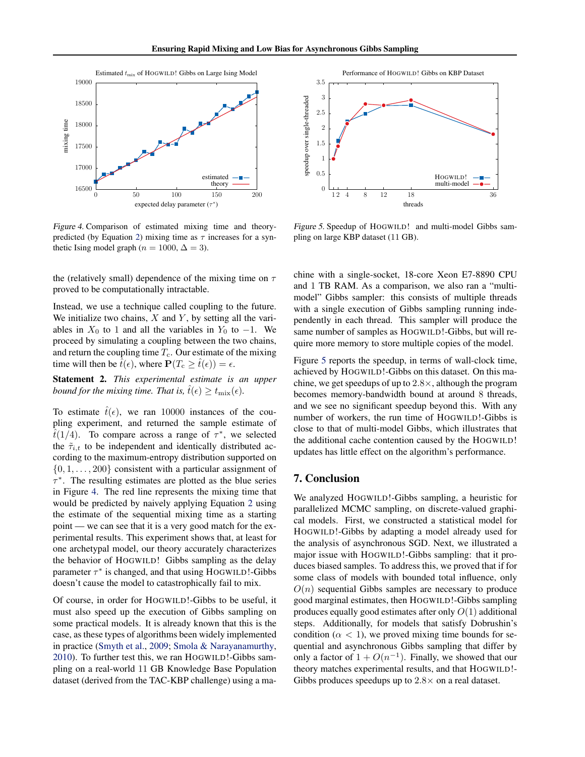<span id="page-7-0"></span>

Figure 4. Comparison of estimated mixing time and theory-predicted (by Equation [2\)](#page-6-0) mixing time as  $\tau$  increases for a synthetic Ising model graph ( $n = 1000, \Delta = 3$ ).

the (relatively small) dependence of the mixing time on  $\tau$ proved to be computationally intractable.

Instead, we use a technique called coupling to the future. We initialize two chains,  $X$  and  $Y$ , by setting all the variables in  $X_0$  to 1 and all the variables in  $Y_0$  to  $-1$ . We proceed by simulating a coupling between the two chains, and return the coupling time  $T_c$ . Our estimate of the mixing time will then be  $\hat{t}(\epsilon)$ , where  $\mathbf{P}(T_c \geq \hat{t}(\epsilon)) = \epsilon$ .

Statement 2. *This experimental estimate is an upper bound for the mixing time. That is,*  $\hat{t}(\epsilon) > t_{\text{mix}}(\epsilon)$ *.* 

To estimate  $\hat{t}(\epsilon)$ , we ran 10000 instances of the coupling experiment, and returned the sample estimate of  $\tilde{t}(1/4)$ . To compare across a range of  $\tau^*$ , we selected the  $\tilde{\tau}_{i,t}$  to be independent and identically distributed according to the maximum-entropy distribution supported on  $\{0, 1, \ldots, 200\}$  consistent with a particular assignment of  $\tau^*$ . The resulting estimates are plotted as the blue series in Figure 4. The red line represents the mixing time that would be predicted by naively applying Equation [2](#page-6-0) using the estimate of the sequential mixing time as a starting point — we can see that it is a very good match for the experimental results. This experiment shows that, at least for one archetypal model, our theory accurately characterizes the behavior of HOGWILD! Gibbs sampling as the delay parameter  $\tau^*$  is changed, and that using HOGWILD!-Gibbs doesn't cause the model to catastrophically fail to mix.

Of course, in order for HOGWILD!-Gibbs to be useful, it must also speed up the execution of Gibbs sampling on some practical models. It is already known that this is the case, as these types of algorithms been widely implemented in practice [\(Smyth et al.,](#page-9-0) [2009;](#page-9-0) [Smola & Narayanamurthy,](#page-9-0) [2010\)](#page-9-0). To further test this, we ran HOGWILD!-Gibbs sampling on a real-world 11 GB Knowledge Base Population dataset (derived from the TAC-KBP challenge) using a ma-



Figure 5. Speedup of HOGWILD! and multi-model Gibbs sampling on large KBP dataset (11 GB).

chine with a single-socket, 18-core Xeon E7-8890 CPU and 1 TB RAM. As a comparison, we also ran a "multimodel" Gibbs sampler: this consists of multiple threads with a single execution of Gibbs sampling running independently in each thread. This sampler will produce the same number of samples as HOGWILD!-Gibbs, but will require more memory to store multiple copies of the model.

Figure 5 reports the speedup, in terms of wall-clock time, achieved by HOGWILD!-Gibbs on this dataset. On this machine, we get speedups of up to 2.8×, although the program becomes memory-bandwidth bound at around 8 threads, and we see no significant speedup beyond this. With any number of workers, the run time of HOGWILD!-Gibbs is close to that of multi-model Gibbs, which illustrates that the additional cache contention caused by the HOGWILD! updates has little effect on the algorithm's performance.

## 7. Conclusion

We analyzed HOGWILD!-Gibbs sampling, a heuristic for parallelized MCMC sampling, on discrete-valued graphical models. First, we constructed a statistical model for HOGWILD!-Gibbs by adapting a model already used for the analysis of asynchronous SGD. Next, we illustrated a major issue with HOGWILD!-Gibbs sampling: that it produces biased samples. To address this, we proved that if for some class of models with bounded total influence, only  $O(n)$  sequential Gibbs samples are necessary to produce good marginal estimates, then HOGWILD!-Gibbs sampling produces equally good estimates after only  $O(1)$  additional steps. Additionally, for models that satisfy Dobrushin's condition ( $\alpha$  < 1), we proved mixing time bounds for sequential and asynchronous Gibbs sampling that differ by only a factor of  $1 + O(n^{-1})$ . Finally, we showed that our theory matches experimental results, and that HOGWILD!- Gibbs produces speedups up to  $2.8 \times$  on a real dataset.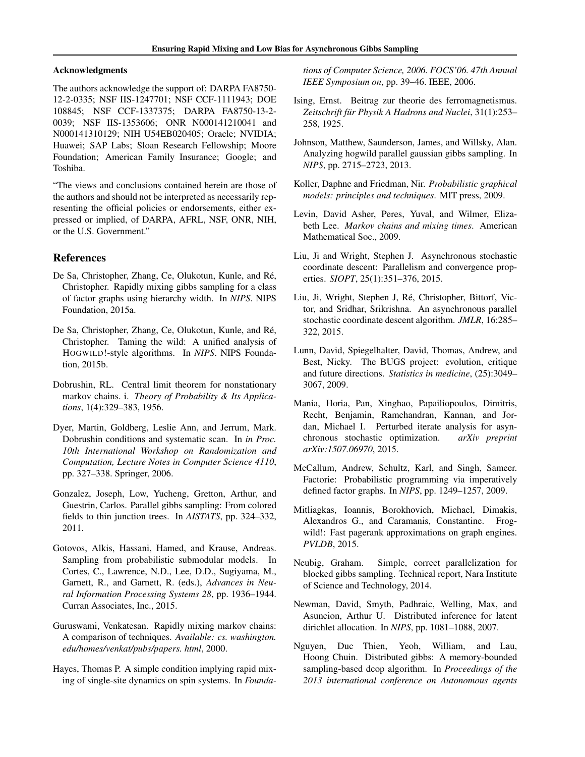### <span id="page-8-0"></span>Acknowledgments

The authors acknowledge the support of: DARPA FA8750- 12-2-0335; NSF IIS-1247701; NSF CCF-1111943; DOE 108845; NSF CCF-1337375; DARPA FA8750-13-2- 0039; NSF IIS-1353606; ONR N000141210041 and N000141310129; NIH U54EB020405; Oracle; NVIDIA; Huawei; SAP Labs; Sloan Research Fellowship; Moore Foundation; American Family Insurance; Google; and Toshiba.

"The views and conclusions contained herein are those of the authors and should not be interpreted as necessarily representing the official policies or endorsements, either expressed or implied, of DARPA, AFRL, NSF, ONR, NIH, or the U.S. Government."

### References

- De Sa, Christopher, Zhang, Ce, Olukotun, Kunle, and Ré, Christopher. Rapidly mixing gibbs sampling for a class of factor graphs using hierarchy width. In *NIPS*. NIPS Foundation, 2015a.
- De Sa, Christopher, Zhang, Ce, Olukotun, Kunle, and Ré, Christopher. Taming the wild: A unified analysis of HOGWILD!-style algorithms. In *NIPS*. NIPS Foundation, 2015b.
- Dobrushin, RL. Central limit theorem for nonstationary markov chains. i. *Theory of Probability & Its Applications*, 1(4):329–383, 1956.
- Dyer, Martin, Goldberg, Leslie Ann, and Jerrum, Mark. Dobrushin conditions and systematic scan. In *in Proc. 10th International Workshop on Randomization and Computation, Lecture Notes in Computer Science 4110*, pp. 327–338. Springer, 2006.
- Gonzalez, Joseph, Low, Yucheng, Gretton, Arthur, and Guestrin, Carlos. Parallel gibbs sampling: From colored fields to thin junction trees. In *AISTATS*, pp. 324–332, 2011.
- Gotovos, Alkis, Hassani, Hamed, and Krause, Andreas. Sampling from probabilistic submodular models. In Cortes, C., Lawrence, N.D., Lee, D.D., Sugiyama, M., Garnett, R., and Garnett, R. (eds.), *Advances in Neural Information Processing Systems 28*, pp. 1936–1944. Curran Associates, Inc., 2015.
- Guruswami, Venkatesan. Rapidly mixing markov chains: A comparison of techniques. *Available: cs. washington. edu/homes/venkat/pubs/papers. html*, 2000.
- Hayes, Thomas P. A simple condition implying rapid mixing of single-site dynamics on spin systems. In *Founda-*

*tions of Computer Science, 2006. FOCS'06. 47th Annual IEEE Symposium on*, pp. 39–46. IEEE, 2006.

- Ising, Ernst. Beitrag zur theorie des ferromagnetismus. Zeitschrift für Physik A Hadrons and Nuclei, 31(1):253– 258, 1925.
- Johnson, Matthew, Saunderson, James, and Willsky, Alan. Analyzing hogwild parallel gaussian gibbs sampling. In *NIPS*, pp. 2715–2723, 2013.
- Koller, Daphne and Friedman, Nir. *Probabilistic graphical models: principles and techniques*. MIT press, 2009.
- Levin, David Asher, Peres, Yuval, and Wilmer, Elizabeth Lee. *Markov chains and mixing times*. American Mathematical Soc., 2009.
- Liu, Ji and Wright, Stephen J. Asynchronous stochastic coordinate descent: Parallelism and convergence properties. *SIOPT*, 25(1):351–376, 2015.
- Liu, Ji, Wright, Stephen J, Ré, Christopher, Bittorf, Victor, and Sridhar, Srikrishna. An asynchronous parallel stochastic coordinate descent algorithm. *JMLR*, 16:285– 322, 2015.
- Lunn, David, Spiegelhalter, David, Thomas, Andrew, and Best, Nicky. The BUGS project: evolution, critique and future directions. *Statistics in medicine*, (25):3049– 3067, 2009.
- Mania, Horia, Pan, Xinghao, Papailiopoulos, Dimitris, Recht, Benjamin, Ramchandran, Kannan, and Jordan, Michael I. Perturbed iterate analysis for asynchronous stochastic optimization. *arXiv preprint arXiv:1507.06970*, 2015.
- McCallum, Andrew, Schultz, Karl, and Singh, Sameer. Factorie: Probabilistic programming via imperatively defined factor graphs. In *NIPS*, pp. 1249–1257, 2009.
- Mitliagkas, Ioannis, Borokhovich, Michael, Dimakis, Alexandros G., and Caramanis, Constantine. Frogwild!: Fast pagerank approximations on graph engines. *PVLDB*, 2015.
- Neubig, Graham. Simple, correct parallelization for blocked gibbs sampling. Technical report, Nara Institute of Science and Technology, 2014.
- Newman, David, Smyth, Padhraic, Welling, Max, and Asuncion, Arthur U. Distributed inference for latent dirichlet allocation. In *NIPS*, pp. 1081–1088, 2007.
- Nguyen, Duc Thien, Yeoh, William, and Lau, Hoong Chuin. Distributed gibbs: A memory-bounded sampling-based dcop algorithm. In *Proceedings of the 2013 international conference on Autonomous agents*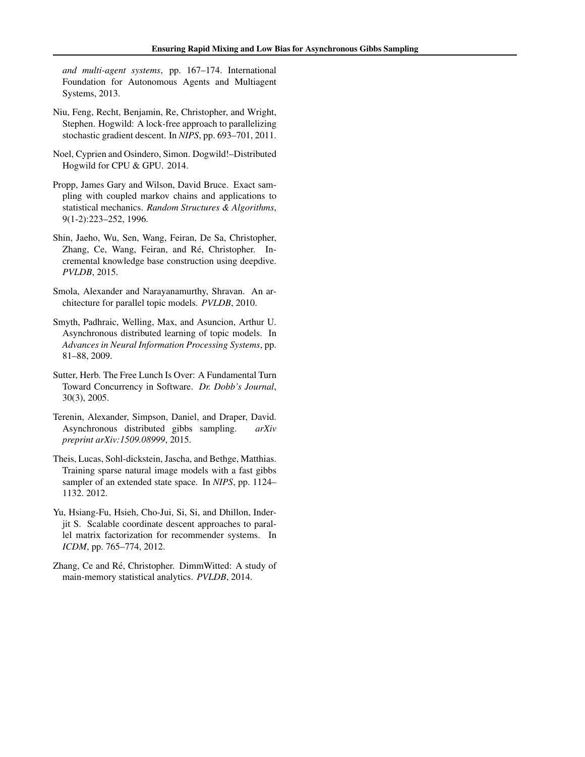<span id="page-9-0"></span>*and multi-agent systems*, pp. 167–174. International Foundation for Autonomous Agents and Multiagent Systems, 2013.

- Niu, Feng, Recht, Benjamin, Re, Christopher, and Wright, Stephen. Hogwild: A lock-free approach to parallelizing stochastic gradient descent. In *NIPS*, pp. 693–701, 2011.
- Noel, Cyprien and Osindero, Simon. Dogwild!–Distributed Hogwild for CPU & GPU. 2014.
- Propp, James Gary and Wilson, David Bruce. Exact sampling with coupled markov chains and applications to statistical mechanics. *Random Structures & Algorithms*, 9(1-2):223–252, 1996.
- Shin, Jaeho, Wu, Sen, Wang, Feiran, De Sa, Christopher, Zhang, Ce, Wang, Feiran, and Ré, Christopher. Incremental knowledge base construction using deepdive. *PVLDB*, 2015.
- Smola, Alexander and Narayanamurthy, Shravan. An architecture for parallel topic models. *PVLDB*, 2010.
- Smyth, Padhraic, Welling, Max, and Asuncion, Arthur U. Asynchronous distributed learning of topic models. In *Advances in Neural Information Processing Systems*, pp. 81–88, 2009.
- Sutter, Herb. The Free Lunch Is Over: A Fundamental Turn Toward Concurrency in Software. *Dr. Dobb's Journal*, 30(3), 2005.
- Terenin, Alexander, Simpson, Daniel, and Draper, David. Asynchronous distributed gibbs sampling. *arXiv preprint arXiv:1509.08999*, 2015.
- Theis, Lucas, Sohl-dickstein, Jascha, and Bethge, Matthias. Training sparse natural image models with a fast gibbs sampler of an extended state space. In *NIPS*, pp. 1124– 1132. 2012.
- Yu, Hsiang-Fu, Hsieh, Cho-Jui, Si, Si, and Dhillon, Inderjit S. Scalable coordinate descent approaches to parallel matrix factorization for recommender systems. In *ICDM*, pp. 765–774, 2012.
- Zhang, Ce and Ré, Christopher. DimmWitted: A study of main-memory statistical analytics. *PVLDB*, 2014.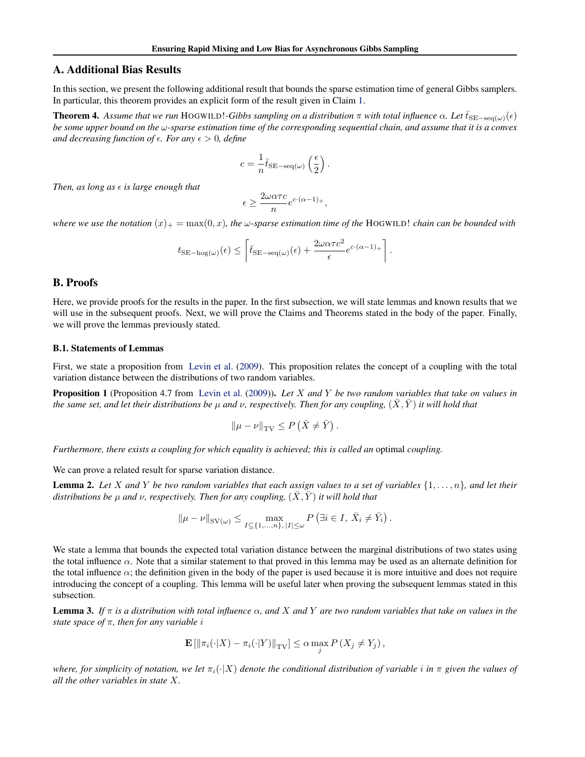# <span id="page-10-0"></span>A. Additional Bias Results

In this section, we present the following additional result that bounds the sparse estimation time of general Gibbs samplers. In particular, this theorem provides an explicit form of the result given in Claim [1.](#page-4-0)

**Theorem 4.** Assume that we run HOGWILD!-Gibbs sampling on a distribution  $\pi$  with total influence  $\alpha$ . Let  $\bar{t}_{\text{SE-seq}(\omega)}(\epsilon)$ *be some upper bound on the* ω*-sparse estimation time of the corresponding sequential chain, and assume that it is a convex and decreasing function of*  $\epsilon$ *. For any*  $\epsilon > 0$ *, define* 

$$
c = \frac{1}{n} \bar{t}_{\text{SE-seq}(\omega)} \left( \frac{\epsilon}{2} \right).
$$

*Then, as long as*  $\epsilon$  *is large enough that* 

$$
\epsilon \geq \frac{2\omega \alpha \tau c}{n} e^{c\cdot (\alpha-1)_+},
$$

*where we use the notation*  $(x)_+ = \max(0, x)$ *, the*  $\omega$ *-sparse estimation time of the* HOGWILD! *chain can be bounded with* 

$$
t_{\text{SE-hog}(\omega)}(\epsilon) \leq \left\lceil \bar{t}_{\text{SE-seq}(\omega)}(\epsilon) + \frac{2\omega\alpha\tau c^2}{\epsilon}e^{c\cdot(\alpha-1)_+} \right\rceil.
$$

### B. Proofs

Here, we provide proofs for the results in the paper. In the first subsection, we will state lemmas and known results that we will use in the subsequent proofs. Next, we will prove the Claims and Theorems stated in the body of the paper. Finally, we will prove the lemmas previously stated.

#### B.1. Statements of Lemmas

First, we state a proposition from [Levin et al.](#page-8-0) [\(2009\)](#page-8-0). This proposition relates the concept of a coupling with the total variation distance between the distributions of two random variables.

Proposition 1 (Proposition 4.7 from [Levin et al.](#page-8-0) [\(2009\)](#page-8-0)). *Let* X *and* Y *be two random variables that take on values in the same set, and let their distributions be*  $\mu$  *and*  $\nu$ , *respectively. Then for any coupling,*  $(\bar{X}, \bar{Y})$  *it will hold that* 

$$
\|\mu - \nu\|_{\mathrm{TV}} \le P\left(\bar{X} \neq \bar{Y}\right).
$$

*Furthermore, there exists a coupling for which equality is achieved; this is called an* optimal *coupling.*

We can prove a related result for sparse variation distance.

Lemma 2. *Let* X *and* Y *be two random variables that each assign values to a set of variables* {1, . . . , n}*, and let their distributions be µ and v, respectively. Then for any coupling,*  $(\overline{X}, \overline{Y})$  *it will hold that* 

$$
\|\mu - \nu\|_{\text{SV}(\omega)} \le \max_{I \subseteq \{1, \ldots, n\}, |I| \le \omega} P\left(\exists i \in I, \ \bar{X}_i \neq \bar{Y}_i\right).
$$

We state a lemma that bounds the expected total variation distance between the marginal distributions of two states using the total influence  $\alpha$ . Note that a similar statement to that proved in this lemma may be used as an alternate definition for the total influence  $\alpha$ ; the definition given in the body of the paper is used because it is more intuitive and does not require introducing the concept of a coupling. This lemma will be useful later when proving the subsequent lemmas stated in this subsection.

Lemma 3. *If* π *is a distribution with total influence* α*, and* X *and* Y *are two random variables that take on values in the state space of* π*, then for any variable* i

$$
\mathbf{E}\left[\left\|\pi_i(\cdot|X) - \pi_i(\cdot|Y)\right\|_{\mathrm{TV}}\right] \leq \alpha \max_j P\left(X_j \neq Y_j\right),
$$

*where, for simplicity of notation, we let*  $\pi_i(\cdot|X)$  *denote the conditional distribution of variable i in*  $\pi$  *given the values of all the other variables in state* X*.*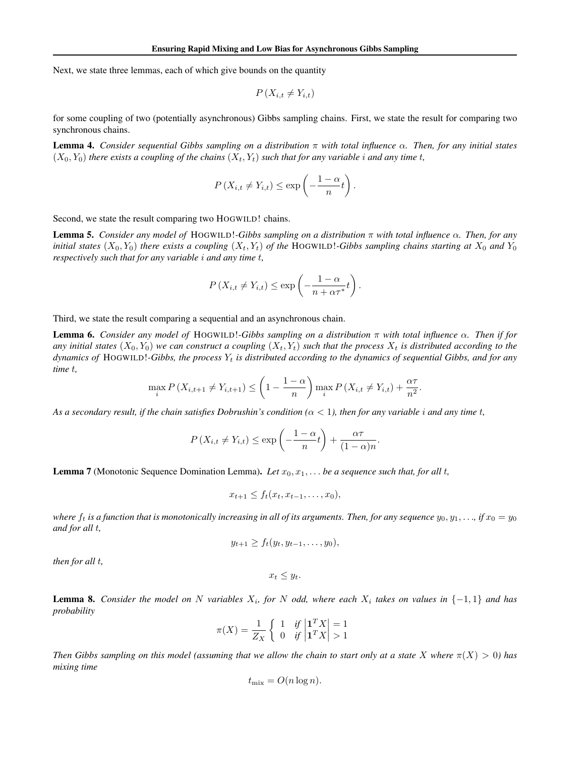<span id="page-11-0"></span>Next, we state three lemmas, each of which give bounds on the quantity

$$
P\left(X_{i,t} \neq Y_{i,t}\right)
$$

for some coupling of two (potentially asynchronous) Gibbs sampling chains. First, we state the result for comparing two synchronous chains.

Lemma 4. *Consider sequential Gibbs sampling on a distribution* π *with total influence* α*. Then, for any initial states*  $(X_0, Y_0)$  *there exists a coupling of the chains*  $(X_t, Y_t)$  *such that for any variable i and any time t,* 

$$
P(X_{i,t} \neq Y_{i,t}) \leq \exp\left(-\frac{1-\alpha}{n}t\right).
$$

Second, we state the result comparing two HOGWILD! chains.

Lemma 5. *Consider any model of* HOGWILD!*-Gibbs sampling on a distribution* π *with total influence* α*. Then, for any initial states*  $(X_0, Y_0)$  *there exists a coupling*  $(X_t, Y_t)$  *of the* HOGWILD!*-Gibbs sampling chains starting at*  $X_0$  *and*  $Y_0$ *respectively such that for any variable* i *and any time* t*,*

$$
P(X_{i,t} \neq Y_{i,t}) \leq \exp\left(-\frac{1-\alpha}{n+\alpha\tau^*}t\right).
$$

Third, we state the result comparing a sequential and an asynchronous chain.

Lemma 6. *Consider any model of* HOGWILD!*-Gibbs sampling on a distribution* π *with total influence* α*. Then if for* any initial states  $(X_0, Y_0)$  we can construct a coupling  $(X_t, Y_t)$  such that the process  $X_t$  is distributed according to the dynamics of HOGWILD!-Gibbs, the process Y<sub>t</sub> is distributed according to the dynamics of sequential Gibbs, and for any *time* t*,*

$$
\max_{i} P(X_{i,t+1} \neq Y_{i,t+1}) \leq \left(1 - \frac{1 - \alpha}{n}\right) \max_{i} P(X_{i,t} \neq Y_{i,t}) + \frac{\alpha \tau}{n^2}.
$$

As a secondary result, if the chain satisfies Dobrushin's condition  $(\alpha < 1)$ , then for any variable *i* and any time *t*,

$$
P(X_{i,t} \neq Y_{i,t}) \leq \exp\left(-\frac{1-\alpha}{n}t\right) + \frac{\alpha\tau}{(1-\alpha)n}.
$$

**Lemma 7** (Monotonic Sequence Domination Lemma). Let  $x_0, x_1, \ldots$  be a sequence such that, for all t,

$$
x_{t+1} \leq f_t(x_t, x_{t-1}, \ldots, x_0),
$$

*where*  $f_t$  *is a function that is monotonically increasing in all of its arguments. Then, for any sequence*  $y_0, y_1, \ldots$ , *if*  $x_0 = y_0$ *and for all* t*,*

$$
y_{t+1}\geq f_t(y_t,y_{t-1},\ldots,y_0),
$$

*then for all* t*,*

 $x_t \leq y_t$ .

**Lemma 8.** Consider the model on N variables  $X_i$ , for N odd, where each  $X_i$  takes on values in  $\{-1,1\}$  and has *probability*

$$
\pi(X) = \frac{1}{Z_X} \left\{ \begin{array}{ll} 1 & \text{if } \left| \begin{matrix} 1^T X \\ 1^T X \end{matrix} \right| = 1 \\ 0 & \text{if } \left| \begin{matrix} 1^T X \\ 1^T X \end{matrix} \right| > 1 \end{array} \right.
$$

*Then Gibbs sampling on this model (assuming that we allow the chain to start only at a state* X where  $\pi(X) > 0$ ) has *mixing time*

$$
t_{\text{mix}} = O(n \log n).
$$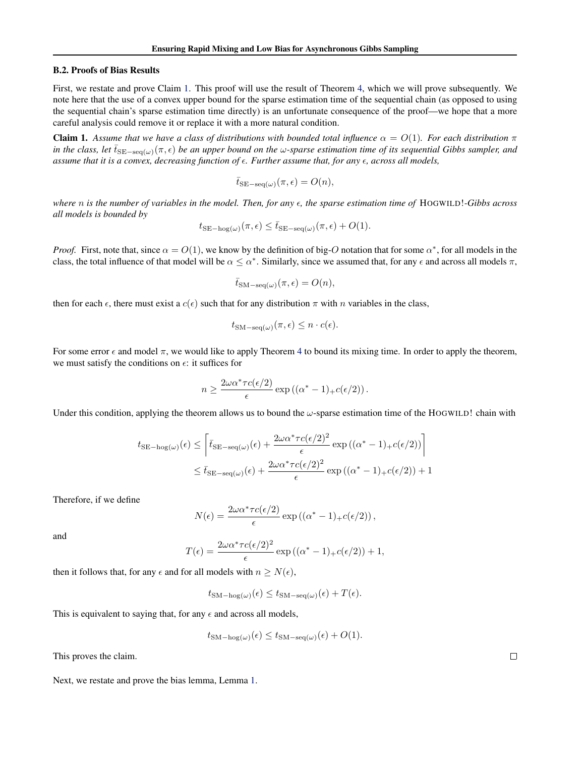#### B.2. Proofs of Bias Results

First, we restate and prove Claim [1.](#page-4-0) This proof will use the result of Theorem [4,](#page-10-0) which we will prove subsequently. We note here that the use of a convex upper bound for the sparse estimation time of the sequential chain (as opposed to using the sequential chain's sparse estimation time directly) is an unfortunate consequence of the proof—we hope that a more careful analysis could remove it or replace it with a more natural condition.

**Claim 1.** Assume that we have a class of distributions with bounded total influence  $\alpha = O(1)$ . For each distribution  $\pi$ *in the class, let*  $\bar{t}_{\text{SE-seq}(\omega)}(\pi, \epsilon)$  *be an upper bound on the*  $\omega$ -sparse estimation time of its sequential Gibbs sampler, and *assume that it is a convex, decreasing function of . Further assume that, for any , across all models,*

$$
\bar{t}_{\mathrm{SE-seq}(\omega)}(\pi,\epsilon) = O(n),
$$

*where n is the number of variables in the model. Then, for any*  $\epsilon$ , *the sparse estimation time of* HOGWILD!*-Gibbs across all models is bounded by*

$$
t_{\text{SE-hog}(\omega)}(\pi,\epsilon) \le \bar{t}_{\text{SE-seq}(\omega)}(\pi,\epsilon) + O(1).
$$

*Proof.* First, note that, since  $\alpha = O(1)$ , we know by the definition of big-O notation that for some  $\alpha^*$ , for all models in the class, the total influence of that model will be  $\alpha \leq \alpha^*$ . Similarly, since we assumed that, for any  $\epsilon$  and across all models  $\pi$ ,

$$
\bar{t}_{\mathrm{SM-seq}(\omega)}(\pi,\epsilon) = O(n),
$$

then for each  $\epsilon$ , there must exist a  $c(\epsilon)$  such that for any distribution  $\pi$  with n variables in the class,

$$
t_{\text{SM-seq}(\omega)}(\pi,\epsilon) \leq n \cdot c(\epsilon).
$$

For some error  $\epsilon$  and model  $\pi$ , we would like to apply Theorem [4](#page-10-0) to bound its mixing time. In order to apply the theorem, we must satisfy the conditions on  $\epsilon$ : it suffices for

$$
n \ge \frac{2\omega\alpha^* \tau c(\epsilon/2)}{\epsilon} \exp((\alpha^* - 1)_+ c(\epsilon/2)).
$$

Under this condition, applying the theorem allows us to bound the  $\omega$ -sparse estimation time of the HOGWILD! chain with

$$
t_{\text{SE-hog}(\omega)}(\epsilon) \le \left[ \bar{t}_{\text{SE-seq}(\omega)}(\epsilon) + \frac{2\omega\alpha^* \tau c(\epsilon/2)^2}{\epsilon} \exp\left((\alpha^* - 1)_+ c(\epsilon/2)\right) \right]
$$
  

$$
\le \bar{t}_{\text{SE-seq}(\omega)}(\epsilon) + \frac{2\omega\alpha^* \tau c(\epsilon/2)^2}{\epsilon} \exp\left((\alpha^* - 1)_+ c(\epsilon/2)\right) + 1
$$

Therefore, if we define

$$
N(\epsilon) = \frac{2\omega\alpha^* \tau c(\epsilon/2)}{\epsilon} \exp((\alpha^* - 1)_+ c(\epsilon/2)),
$$

and

$$
T(\epsilon) = \frac{2\omega\alpha^* \tau c(\epsilon/2)^2}{\epsilon} \exp((\alpha^* - 1)_+ c(\epsilon/2)) + 1,
$$

then it follows that, for any  $\epsilon$  and for all models with  $n \ge N(\epsilon)$ ,

$$
t_{\text{SM-hog}(\omega)}(\epsilon) \le t_{\text{SM-seq}(\omega)}(\epsilon) + T(\epsilon).
$$

This is equivalent to saying that, for any  $\epsilon$  and across all models,

$$
t_{\text{SM-hog}(\omega)}(\epsilon) \le t_{\text{SM-seq}(\omega)}(\epsilon) + O(1).
$$

This proves the claim.

Next, we restate and prove the bias lemma, Lemma [1.](#page-4-0)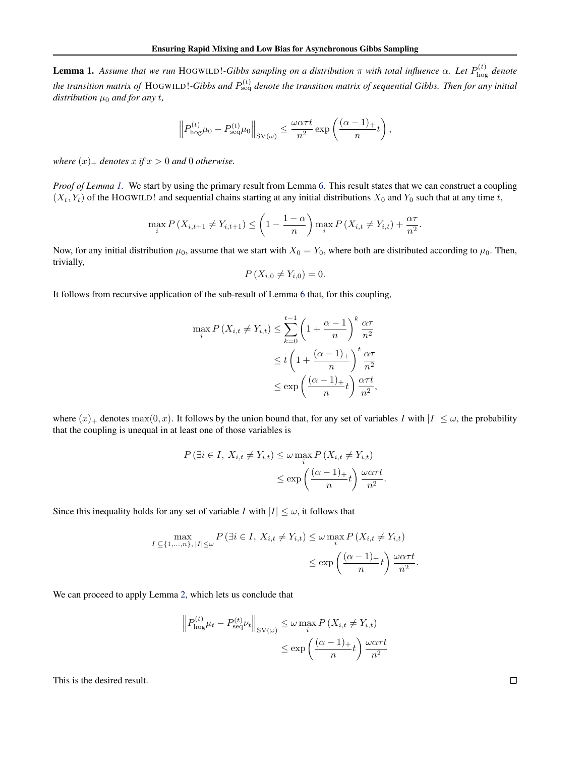**Lemma 1.** Assume that we run HOGWILD!-Gibbs sampling on a distribution  $\pi$  with total influence  $\alpha$ . Let  $P_{\text{hog}}^{(t)}$  denote the transition matrix of HOGWILD!-Gibbs and  $P_{\rm seq}^{(t)}$  denote the transition matrix of sequential Gibbs. Then for any initial *distribution*  $\mu_0$  *and for any t,* 

$$
\left\| P_{\text{hog}}^{(t)} \mu_0 - P_{\text{seq}}^{(t)} \mu_0 \right\|_{\text{SV}(\omega)} \le \frac{\omega \alpha \tau t}{n^2} \exp\left(\frac{(\alpha - 1)_+}{n} t\right),\,
$$

*where*  $(x)$ <sub>+</sub> *denotes*  $x$  *if*  $x > 0$  *and* 0 *otherwise.* 

*Proof of Lemma 1*. We start by using the primary result from Lemma [6.](#page-11-0) This result states that we can construct a coupling  $(X_t, Y_t)$  of the HOGWILD! and sequential chains starting at any initial distributions  $X_0$  and  $Y_0$  such that at any time t,

$$
\max_{i} P(X_{i,t+1} \neq Y_{i,t+1}) \leq \left(1 - \frac{1 - \alpha}{n}\right) \max_{i} P(X_{i,t} \neq Y_{i,t}) + \frac{\alpha \tau}{n^2}.
$$

Now, for any initial distribution  $\mu_0$ , assume that we start with  $X_0 = Y_0$ , where both are distributed according to  $\mu_0$ . Then, trivially,

$$
P(X_{i,0} \neq Y_{i,0}) = 0.
$$

It follows from recursive application of the sub-result of Lemma [6](#page-11-0) that, for this coupling,

$$
\max_{i} P(X_{i,t} \neq Y_{i,t}) \leq \sum_{k=0}^{t-1} \left(1 + \frac{\alpha - 1}{n}\right)^k \frac{\alpha \tau}{n^2}
$$

$$
\leq t \left(1 + \frac{(\alpha - 1)_+}{n}\right)^t \frac{\alpha \tau}{n^2}
$$

$$
\leq \exp\left(\frac{(\alpha - 1)_+}{n}t\right) \frac{\alpha \tau t}{n^2},
$$

where  $(x)_+$  denotes max $(0, x)$ . It follows by the union bound that, for any set of variables I with  $|I| \leq \omega$ , the probability that the coupling is unequal in at least one of those variables is

$$
P(\exists i \in I, X_{i,t} \neq Y_{i,t}) \leq \omega \max_{i} P(X_{i,t} \neq Y_{i,t})
$$
  

$$
\leq \exp\left(\frac{(\alpha - 1)_{+}}{n}t\right) \frac{\omega \alpha \tau t}{n^2}.
$$

Since this inequality holds for any set of variable I with  $|I| \leq \omega$ , it follows that

$$
\max_{I \subseteq \{1,\ldots,n\}, |I| \le \omega} P(\exists i \in I, X_{i,t} \neq Y_{i,t}) \le \omega \max_{i} P(X_{i,t} \neq Y_{i,t})
$$

$$
\le \exp\left(\frac{(\alpha - 1)_{+}}{n}t\right) \frac{\omega \alpha \tau t}{n^2}.
$$

We can proceed to apply Lemma [2,](#page-10-0) which lets us conclude that

$$
\|P_{\text{hog}}^{(t)}\mu_t - P_{\text{seq}}^{(t)}\nu_t\|_{\text{SV}(\omega)} \le \omega \max_i P(X_{i,t} \ne Y_{i,t})
$$

$$
\le \exp\left(\frac{(\alpha - 1)_+}{n}t\right) \frac{\omega \alpha \tau t}{n^2}
$$

This is the desired result.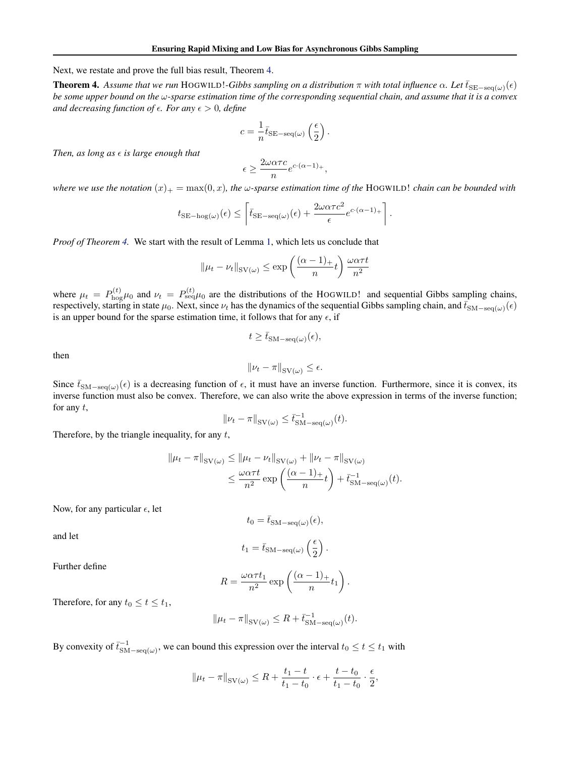Next, we restate and prove the full bias result, Theorem [4.](#page-10-0)

**Theorem 4.** Assume that we run HOGWILD!-Gibbs sampling on a distribution  $\pi$  with total influence  $\alpha$ . Let  $\bar{t}_{\text{SE}-\text{seq}(\omega)}(\epsilon)$ *be some upper bound on the* ω*-sparse estimation time of the corresponding sequential chain, and assume that it is a convex and decreasing function of*  $\epsilon$ *. For any*  $\epsilon > 0$ , *define* 

$$
c = \frac{1}{n} \bar{t}_{\text{SE-seq}(\omega)} \left(\frac{\epsilon}{2}\right).
$$

*Then, as long as*  $\epsilon$  *is large enough that* 

$$
\epsilon \ge \frac{2\omega \alpha \tau c}{n} e^{c \cdot (\alpha - 1)_+},
$$

*where we use the notation*  $(x)_+ = \max(0, x)$ *, the*  $\omega$ *-sparse estimation time of the* HOGWILD! *chain can be bounded with* 

$$
t_{\text{SE-hog}(\omega)}(\epsilon) \le \left[ \overline{t}_{\text{SE-seq}(\omega)}(\epsilon) + \frac{2\omega\alpha\tau c^2}{\epsilon} e^{c\cdot(\alpha-1)+} \right].
$$

*Proof of Theorem [4.](#page-10-0)* We start with the result of Lemma [1,](#page-4-0) which lets us conclude that

$$
\|\mu_t - \nu_t\|_{\text{SV}(\omega)} \le \exp\left(\frac{(\alpha - 1)_+}{n}t\right) \frac{\omega \alpha \tau t}{n^2}
$$

where  $\mu_t = P_{\text{hog}}^{(t)}\mu_0$  and  $\nu_t = P_{\text{seq}}^{(t)}\mu_0$  are the distributions of the HOGWILD! and sequential Gibbs sampling chains, respectively, starting in state  $\mu_0$ . Next, since  $\nu_t$  has the dynamics of the sequential Gibbs sampling chain, and  $\bar{t}_{\text{SM-seq}(\omega)}(\epsilon)$ is an upper bound for the sparse estimation time, it follows that for any  $\epsilon$ , if

$$
t \geq \bar{t}_{\mathrm{SM-seq}(\omega)}(\epsilon),
$$

then

$$
\|\nu_t - \pi\|_{\text{SV}(\omega)} \le \epsilon.
$$

Since  $\bar{t}_{\text{SM-seq}(\omega)}(\epsilon)$  is a decreasing function of  $\epsilon$ , it must have an inverse function. Furthermore, since it is convex, its inverse function must also be convex. Therefore, we can also write the above expression in terms of the inverse function; for any  $t$ ,

$$
\|\nu_t - \pi\|_{\text{SV}(\omega)} \le \bar{t}_{\text{SM-seq}(\omega)}^{-1}(t).
$$

Therefore, by the triangle inequality, for any  $t$ ,

$$
\|\mu_t - \pi\|_{\text{SV}(\omega)} \le \|\mu_t - \nu_t\|_{\text{SV}(\omega)} + \|\nu_t - \pi\|_{\text{SV}(\omega)}
$$
  

$$
\le \frac{\omega \alpha \tau t}{n^2} \exp\left(\frac{(\alpha - 1)_+}{n}t\right) + \bar{t}_{\text{SM-seq}(\omega)}^{-1}(t).
$$

Now, for any particular  $\epsilon$ , let

$$
t_0 = \bar{t}_{\mathrm{SM-seq}(\omega)}(\epsilon),
$$

and let

$$
t_1 = \bar{t}_{\text{SM-seq}(\omega)} \left(\frac{\epsilon}{2}\right).
$$

Further define

$$
R = \frac{\omega \alpha \tau t_1}{n^2} \exp\left(\frac{(\alpha - 1)_+}{n} t_1\right).
$$

Therefore, for any  $t_0 \le t \le t_1$ ,

$$
\|\mu_t - \pi\|_{\text{SV}(\omega)} \le R + \bar{t}_{\text{SM-seq}(\omega)}^{-1}(t).
$$

By convexity of  $\bar{t}_{SM-seq(\omega)}^{-1}$ , we can bound this expression over the interval  $t_0 \le t \le t_1$  with

$$
\|\mu_t - \pi\|_{\text{SV}(\omega)} \le R + \frac{t_1 - t}{t_1 - t_0} \cdot \epsilon + \frac{t - t_0}{t_1 - t_0} \cdot \frac{\epsilon}{2},
$$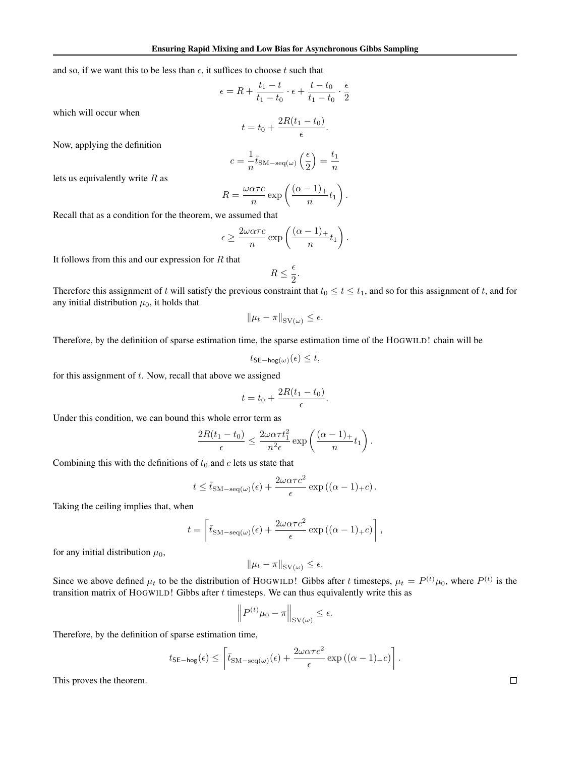and so, if we want this to be less than  $\epsilon$ , it suffices to choose t such that

$$
\epsilon = R + \frac{t_1 - t}{t_1 - t_0} \cdot \epsilon + \frac{t - t_0}{t_1 - t_0} \cdot \frac{\epsilon}{2}
$$

which will occur when

$$
t = t_0 + \frac{2R(t_1 - t_0)}{\epsilon}.
$$

Now, applying the definition

$$
c = \frac{1}{n} \bar{t}_{\text{SM-seq}(\omega)} \left(\frac{\epsilon}{2}\right) = \frac{t_1}{n}
$$

lets us equivalently write  $R$  as

$$
R = \frac{\omega \alpha \tau c}{n} \exp\left(\frac{(\alpha - 1)_+}{n} t_1\right).
$$

Recall that as a condition for the theorem, we assumed that

$$
\epsilon \ge \frac{2\omega\alpha\tau c}{n} \exp\left(\frac{(\alpha-1)_+}{n}t_1\right).
$$

It follows from this and our expression for  $R$  that

$$
R\leq \frac{\epsilon}{2}.
$$

Therefore this assignment of t will satisfy the previous constraint that  $t_0 \le t \le t_1$ , and so for this assignment of t, and for any initial distribution  $\mu_0$ , it holds that

$$
\|\mu_t - \pi\|_{\text{SV}(\omega)} \le \epsilon.
$$

Therefore, by the definition of sparse estimation time, the sparse estimation time of the HOGWILD! chain will be

$$
t_{\mathsf{SE-hog}(\omega)}(\epsilon) \leq t,
$$

for this assignment of  $t$ . Now, recall that above we assigned

$$
t = t_0 + \frac{2R(t_1 - t_0)}{\epsilon}.
$$

Under this condition, we can bound this whole error term as

$$
\frac{2R(t_1-t_0)}{\epsilon} \le \frac{2\omega\alpha\tau t_1^2}{n^2\epsilon} \exp\left(\frac{(\alpha-1)_+}{n}t_1\right).
$$

Combining this with the definitions of  $t_0$  and  $c$  lets us state that

$$
t \leq \bar{t}_{\text{SM-seq}(\omega)}(\epsilon) + \frac{2\omega\alpha\tau c^2}{\epsilon} \exp((\alpha - 1)_{+}c).
$$

Taking the ceiling implies that, when

$$
t = \left[ \bar{t}_{\text{SM-seq}(\omega)}(\epsilon) + \frac{2\omega\alpha\tau c^2}{\epsilon} \exp((\alpha - 1)_+ c) \right],
$$

for any initial distribution  $\mu_0$ ,

$$
\|\mu_t - \pi\|_{\mathrm{SV}(\omega)} \le \epsilon.
$$

Since we above defined  $\mu_t$  to be the distribution of HOGWILD! Gibbs after t timesteps,  $\mu_t = P^{(t)}\mu_0$ , where  $P^{(t)}$  is the transition matrix of HOGWILD! Gibbs after  $t$  timesteps. We can thus equivalently write this as

$$
\left\| P^{(t)} \mu_0 - \pi \right\|_{\text{SV}(\omega)} \le \epsilon.
$$

 $\mathbf{r}$ 

Therefore, by the definition of sparse estimation time,

$$
t_{\mathsf{SE-hog}}(\epsilon) \leq \left\lceil \bar{t}_{\mathsf{SM-seq}(\omega)}(\epsilon) + \frac{2\omega\alpha\tau c^2}{\epsilon} \exp\left((\alpha-1)_+c\right) \right\rceil.
$$

This proves the theorem.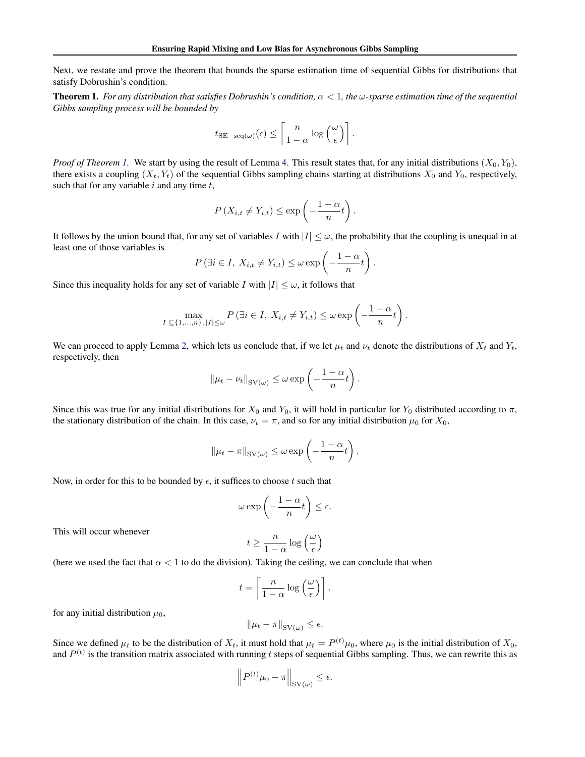Next, we restate and prove the theorem that bounds the sparse estimation time of sequential Gibbs for distributions that satisfy Dobrushin's condition.

**Theorem 1.** For any distribution that satisfies Dobrushin's condition,  $\alpha < 1$ , the  $\omega$ -sparse estimation time of the sequential *Gibbs sampling process will be bounded by*

$$
t_{\text{SE-seq}(\omega)}(\epsilon) \leq \left\lceil \frac{n}{1-\alpha} \log\left(\frac{\omega}{\epsilon}\right) \right\rceil.
$$

*Proof of Theorem [1.](#page-4-0)* We start by using the result of Lemma [4.](#page-11-0) This result states that, for any initial distributions  $(X_0, Y_0)$ , there exists a coupling  $(X_t, Y_t)$  of the sequential Gibbs sampling chains starting at distributions  $X_0$  and  $Y_0$ , respectively, such that for any variable  $i$  and any time  $t$ ,

$$
P(X_{i,t} \neq Y_{i,t}) \leq \exp\left(-\frac{1-\alpha}{n}t\right).
$$

It follows by the union bound that, for any set of variables I with  $|I| \leq \omega$ , the probability that the coupling is unequal in at least one of those variables is

$$
P(\exists i \in I, X_{i,t} \neq Y_{i,t}) \leq \omega \exp\left(-\frac{1-\alpha}{n}t\right).
$$

Since this inequality holds for any set of variable I with  $|I| \leq \omega$ , it follows that

$$
\max_{I \subseteq \{1,\dots,n\}, |I| \leq \omega} P(\exists i \in I, X_{i,t} \neq Y_{i,t}) \leq \omega \exp\left(-\frac{1-\alpha}{n}t\right).
$$

We can proceed to apply Lemma [2,](#page-10-0) which lets us conclude that, if we let  $\mu_t$  and  $\nu_t$  denote the distributions of  $X_t$  and  $Y_t$ , respectively, then

$$
\|\mu_t - \nu_t\|_{\text{SV}(\omega)} \le \omega \exp\left(-\frac{1-\alpha}{n}t\right).
$$

Since this was true for any initial distributions for  $X_0$  and  $Y_0$ , it will hold in particular for  $Y_0$  distributed according to  $\pi$ , the stationary distribution of the chain. In this case,  $\nu_t = \pi$ , and so for any initial distribution  $\mu_0$  for  $X_0$ ,

$$
\|\mu_t - \pi\|_{\mathrm{SV}(\omega)} \le \omega \exp\left(-\frac{1-\alpha}{n}t\right).
$$

Now, in order for this to be bounded by  $\epsilon$ , it suffices to choose t such that

$$
\omega \exp\left(-\frac{1-\alpha}{n}t\right) \le \epsilon.
$$

This will occur whenever

$$
t \ge \frac{n}{1-\alpha} \log\left(\frac{\omega}{\epsilon}\right)
$$

(here we used the fact that  $\alpha < 1$  to do the division). Taking the ceiling, we can conclude that when

$$
t = \left\lceil \frac{n}{1-\alpha} \log\left(\frac{\omega}{\epsilon}\right) \right\rceil.
$$

for any initial distribution  $\mu_0$ ,

$$
\|\mu_t - \pi\|_{\text{SV}(\omega)} \le \epsilon.
$$

Since we defined  $\mu_t$  to be the distribution of  $X_t$ , it must hold that  $\mu_t = P^{(t)}\mu_0$ , where  $\mu_0$  is the initial distribution of  $X_0$ , and  $P^{(t)}$  is the transition matrix associated with running t steps of sequential Gibbs sampling. Thus, we can rewrite this as

$$
\left\| P^{(t)} \mu_0 - \pi \right\|_{\text{SV}(\omega)} \le \epsilon.
$$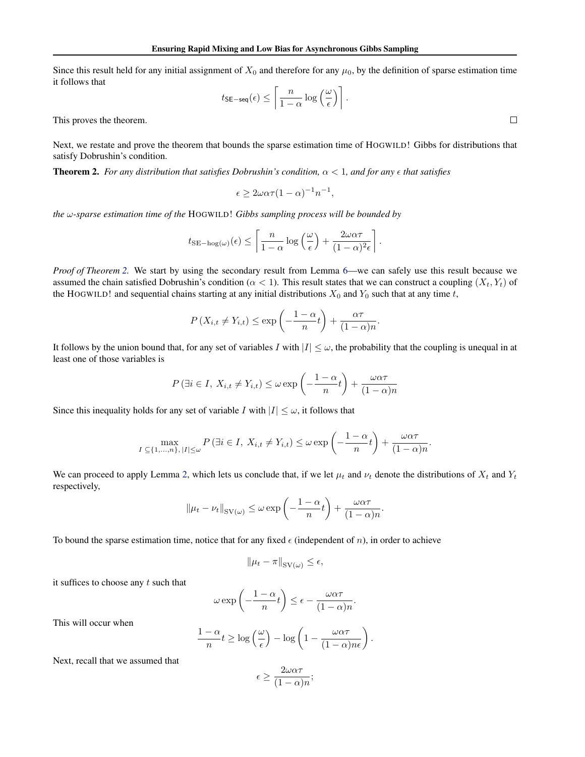Since this result held for any initial assignment of  $X_0$  and therefore for any  $\mu_0$ , by the definition of sparse estimation time it follows that

$$
t_{\mathsf{SE-seq}}(\epsilon) \leq \left\lceil \frac{n}{1-\alpha} \log\left(\frac{\omega}{\epsilon}\right) \right\rceil.
$$

.

.

This proves the theorem.

Next, we restate and prove the theorem that bounds the sparse estimation time of HOGWILD! Gibbs for distributions that satisfy Dobrushin's condition.

**Theorem 2.** *For any distribution that satisfies Dobrushin's condition,*  $\alpha$  < 1*, and for any*  $\epsilon$  *that satisfies* 

$$
\epsilon \ge 2\omega\alpha\tau (1-\alpha)^{-1}n^{-1},
$$

*the* ω*-sparse estimation time of the* HOGWILD! *Gibbs sampling process will be bounded by*

$$
t_{\text{SE-hog}(\omega)}(\epsilon) \le \left[ \frac{n}{1-\alpha} \log \left( \frac{\omega}{\epsilon} \right) + \frac{2\omega\alpha\tau}{(1-\alpha)^2 \epsilon} \right].
$$

*Proof of Theorem [2.](#page-4-0)* We start by using the secondary result from Lemma [6—](#page-11-0)we can safely use this result because we assumed the chain satisfied Dobrushin's condition ( $\alpha$  < 1). This result states that we can construct a coupling  $(X_t, Y_t)$  of the HOGWILD! and sequential chains starting at any initial distributions  $X_0$  and  $Y_0$  such that at any time t,

$$
P(X_{i,t} \neq Y_{i,t}) \leq \exp\left(-\frac{1-\alpha}{n}t\right) + \frac{\alpha\tau}{(1-\alpha)n}.
$$

It follows by the union bound that, for any set of variables I with  $|I| \leq \omega$ , the probability that the coupling is unequal in at least one of those variables is

$$
P(\exists i \in I, X_{i,t} \neq Y_{i,t}) \leq \omega \exp\left(-\frac{1-\alpha}{n}t\right) + \frac{\omega\alpha\tau}{(1-\alpha)n}
$$

Since this inequality holds for any set of variable I with  $|I| \leq \omega$ , it follows that

$$
\max_{I \subseteq \{1,\ldots,n\}, |I| \le \omega} P\left(\exists i \in I, X_{i,t} \neq Y_{i,t}\right) \le \omega \exp\left(-\frac{1-\alpha}{n}t\right) + \frac{\omega \alpha \tau}{(1-\alpha)n}
$$

We can proceed to apply Lemma [2,](#page-10-0) which lets us conclude that, if we let  $\mu_t$  and  $\nu_t$  denote the distributions of  $X_t$  and  $Y_t$ respectively,

$$
\|\mu_t - \nu_t\|_{\text{SV}(\omega)} \le \omega \exp\left(-\frac{1-\alpha}{n}t\right) + \frac{\omega\alpha\tau}{(1-\alpha)n}
$$

To bound the sparse estimation time, notice that for any fixed  $\epsilon$  (independent of n), in order to achieve

$$
\|\mu_t - \pi\|_{\mathrm{SV}(\omega)} \le \epsilon,
$$

it suffices to choose any  $t$  such that

$$
\omega \exp\left(-\frac{1-\alpha}{n}t\right) \leq \epsilon - \frac{\omega\alpha\tau}{(1-\alpha)n}.
$$

This will occur when

$$
\frac{1-\alpha}{n}t \ge \log\left(\frac{\omega}{\epsilon}\right) - \log\left(1 - \frac{\omega\alpha\tau}{(1-\alpha)n\epsilon}\right).
$$

Next, recall that we assumed that

$$
\epsilon \ge \frac{2\omega\alpha\tau}{(1-\alpha)n};
$$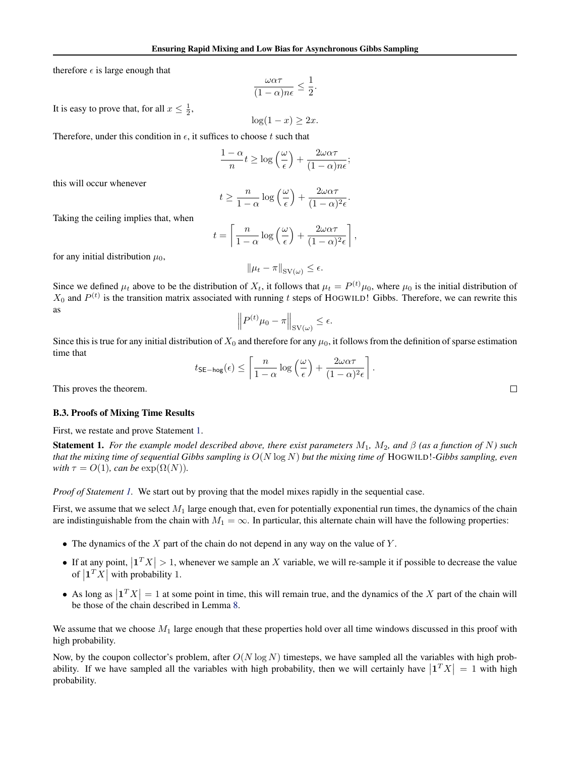therefore  $\epsilon$  is large enough that

$$
\frac{\omega\alpha\tau}{(1-\alpha)n\epsilon} \le \frac{1}{2}.
$$

 $\log(1-x) \geq 2x.$ 

It is easy to prove that, for all  $x \leq \frac{1}{2}$ ,

Therefore, under this condition in  $\epsilon$ , it suffices to choose t such that

$$
\frac{1-\alpha}{n}t \ge \log\left(\frac{\omega}{\epsilon}\right) + \frac{2\omega\alpha\tau}{(1-\alpha)n\epsilon};
$$

this will occur whenever

$$
t \geq \frac{n}{1-\alpha} \log\left(\frac{\omega}{\epsilon}\right) + \frac{2\omega\alpha\tau}{(1-\alpha)^2\epsilon}.
$$

Taking the ceiling implies that, when

$$
t = \left\lceil \frac{n}{1-\alpha} \log\left(\frac{\omega}{\epsilon}\right) + \frac{2\omega\alpha\tau}{(1-\alpha)^2\epsilon} \right\rceil,
$$

for any initial distribution  $\mu_0$ ,

$$
\|\mu_t - \pi\|_{\text{SV}(\omega)} \le \epsilon.
$$

Since we defined  $\mu_t$  above to be the distribution of  $X_t$ , it follows that  $\mu_t = P^{(t)}\mu_0$ , where  $\mu_0$  is the initial distribution of  $X_0$  and  $P^{(t)}$  is the transition matrix associated with running t steps of HOGWILD! Gibbs. Therefore, we can rewrite this as

$$
\left\| P^{(t)} \mu_0 - \pi \right\|_{\text{SV}(\omega)} \le \epsilon.
$$

Since this is true for any initial distribution of  $X_0$  and therefore for any  $\mu_0$ , it follows from the definition of sparse estimation time that

$$
t_{\mathsf{SE-hog}}(\epsilon) \leq \left\lceil \frac{n}{1-\alpha} \log\left(\frac{\omega}{\epsilon}\right) + \frac{2\omega\alpha\tau}{(1-\alpha)^2\epsilon} \right\rceil.
$$

This proves the theorem.

#### B.3. Proofs of Mixing Time Results

First, we restate and prove Statement [1.](#page-5-0)

**Statement 1.** *For the example model described above, there exist parameters*  $M_1$ ,  $M_2$ , and  $\beta$  (as a function of N) such *that the mixing time of sequential Gibbs sampling is* O(N log N) *but the mixing time of* HOGWILD!*-Gibbs sampling, even with*  $\tau = O(1)$ *, can be*  $\exp(\Omega(N))$ *.* 

*Proof of Statement [1.](#page-5-0)* We start out by proving that the model mixes rapidly in the sequential case.

First, we assume that we select  $M_1$  large enough that, even for potentially exponential run times, the dynamics of the chain are indistinguishable from the chain with  $M_1 = \infty$ . In particular, this alternate chain will have the following properties:

- The dynamics of the  $X$  part of the chain do not depend in any way on the value of  $Y$ .
- If at any point,  $|1^T X| > 1$ , whenever we sample an X variable, we will re-sample it if possible to decrease the value of  $\left| \mathbf{1}^T X \right|$  with probability 1.
- As long as  $|T X| = 1$  at some point in time, this will remain true, and the dynamics of the X part of the chain will be those of the chain described in Lemma [8.](#page-11-0)

We assume that we choose  $M_1$  large enough that these properties hold over all time windows discussed in this proof with high probability.

Now, by the coupon collector's problem, after  $O(N \log N)$  timesteps, we have sampled all the variables with high probability. If we have sampled all the variables with high probability, then we will certainly have  $\left|\mathbf{1}^T X\right| = 1$  with high probability.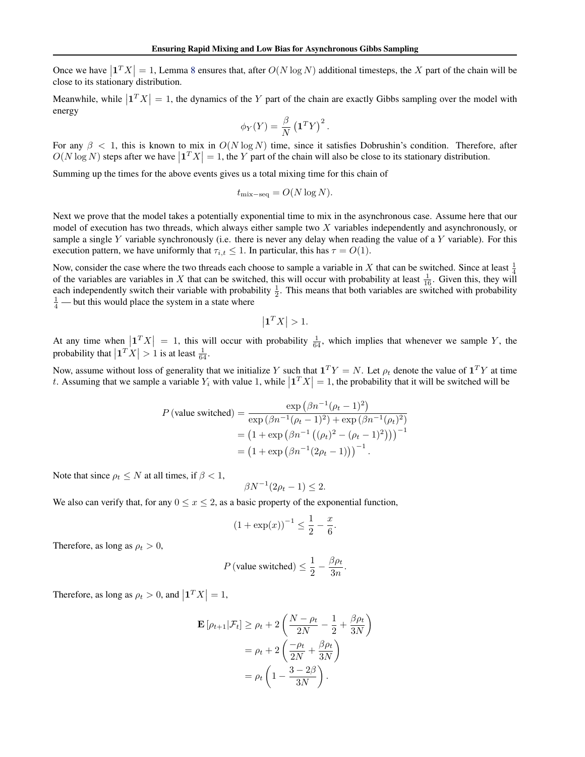Once we have  $|1^T X| = 1$ , Lemma [8](#page-11-0) ensures that, after  $O(N \log N)$  additional timesteps, the X part of the chain will be close to its stationary distribution.

Meanwhile, while  $|1^T X| = 1$ , the dynamics of the Y part of the chain are exactly Gibbs sampling over the model with energy

$$
\phi_Y(Y) = \frac{\beta}{N} \left(\mathbf{1}^T Y\right)^2.
$$

For any  $\beta$  < 1, this is known to mix in  $O(N \log N)$  time, since it satisfies Dobrushin's condition. Therefore, after  $O(N \log N)$  steps after we have  $\left| \mathbf{1}^T X \right| = 1$ , the Y part of the chain will also be close to its stationary distribution.

Summing up the times for the above events gives us a total mixing time for this chain of

$$
t_{\text{mix-seq}} = O(N \log N).
$$

Next we prove that the model takes a potentially exponential time to mix in the asynchronous case. Assume here that our model of execution has two threads, which always either sample two  $X$  variables independently and asynchronously, or sample a single Y variable synchronously (i.e. there is never any delay when reading the value of a Y variable). For this execution pattern, we have uniformly that  $\tau_{i,t} \leq 1$ . In particular, this has  $\tau = O(1)$ .

Now, consider the case where the two threads each choose to sample a variable in X that can be switched. Since at least  $\frac{1}{4}$ of the variables are variables in X that can be switched, this will occur with probability at least  $\frac{1}{16}$ . Given this, they will each independently switch their variable with probability  $\frac{1}{2}$ . This means that both variables are switched with probability  $\frac{1}{4}$  — but this would place the system in a state where

$$
\left|\mathbf{1}^T X\right| > 1.
$$

At any time when  $\left|\mathbf{1}^T X\right| = 1$ , this will occur with probability  $\frac{1}{64}$ , which implies that whenever we sample Y, the probability that  $\left| \mathbf{1}^T X \right| > 1$  is at least  $\frac{1}{64}$ .

Now, assume without loss of generality that we initialize Y such that  $1^T Y = N$ . Let  $\rho_t$  denote the value of  $1^T Y$  at time t. Assuming that we sample a variable  $Y_i$  with value 1, while  $|1^T X| = 1$ , the probability that it will be switched will be

$$
P(\text{value switched}) = \frac{\exp(\beta n^{-1}(\rho_t - 1)^2)}{\exp(\beta n^{-1}(\rho_t - 1)^2) + \exp(\beta n^{-1}(\rho_t)^2)}
$$
  
=  $(1 + \exp(\beta n^{-1}((\rho_t)^2 - (\rho_t - 1)^2)))^{-1}$   
=  $(1 + \exp(\beta n^{-1}(2\rho_t - 1)))^{-1}$ .

Note that since  $\rho_t \leq N$  at all times, if  $\beta < 1$ ,

$$
N^{-1}(2\rho_t - 1) \le 2.
$$

We also can verify that, for any  $0 \le x \le 2$ , as a basic property of the exponential function,

 $\beta$ 

$$
(1 + \exp(x))^{-1} \le \frac{1}{2} - \frac{x}{6}
$$

.

Therefore, as long as  $\rho_t > 0$ ,

$$
P\left(\text{value switched}\right) \le \frac{1}{2} - \frac{\beta \rho_t}{3n}.
$$

Therefore, as long as  $\rho_t > 0$ , and  $|\mathbf{1}^T X| = 1$ ,

$$
\mathbf{E}\left[\rho_{t+1}|\mathcal{F}_{t}\right] \geq \rho_{t} + 2\left(\frac{N-\rho_{t}}{2N} - \frac{1}{2} + \frac{\beta \rho_{t}}{3N}\right)
$$

$$
= \rho_{t} + 2\left(\frac{-\rho_{t}}{2N} + \frac{\beta \rho_{t}}{3N}\right)
$$

$$
= \rho_{t}\left(1 - \frac{3 - 2\beta}{3N}\right).
$$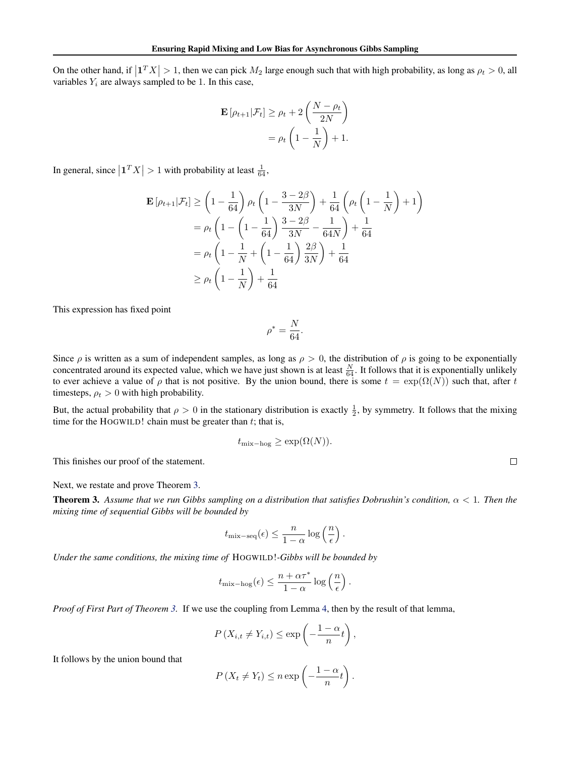On the other hand, if  $|\mathbf{1}^T X| > 1$ , then we can pick  $M_2$  large enough such that with high probability, as long as  $\rho_t > 0$ , all variables  $Y_i$  are always sampled to be 1. In this case,

$$
\mathbf{E}\left[\rho_{t+1}|\mathcal{F}_t\right] \ge \rho_t + 2\left(\frac{N-\rho_t}{2N}\right)
$$

$$
= \rho_t \left(1 - \frac{1}{N}\right) + 1.
$$

In general, since  $\left| \mathbf{1}^T X \right| > 1$  with probability at least  $\frac{1}{64}$ ,

$$
\mathbf{E}\left[\rho_{t+1}|\mathcal{F}_{t}\right] \geq \left(1 - \frac{1}{64}\right)\rho_{t}\left(1 - \frac{3 - 2\beta}{3N}\right) + \frac{1}{64}\left(\rho_{t}\left(1 - \frac{1}{N}\right) + 1\right)
$$
\n
$$
= \rho_{t}\left(1 - \left(1 - \frac{1}{64}\right)\frac{3 - 2\beta}{3N} - \frac{1}{64N}\right) + \frac{1}{64}
$$
\n
$$
= \rho_{t}\left(1 - \frac{1}{N} + \left(1 - \frac{1}{64}\right)\frac{2\beta}{3N}\right) + \frac{1}{64}
$$
\n
$$
\geq \rho_{t}\left(1 - \frac{1}{N}\right) + \frac{1}{64}
$$

This expression has fixed point

$$
\rho^* = \frac{N}{64}.
$$

Since  $\rho$  is written as a sum of independent samples, as long as  $\rho > 0$ , the distribution of  $\rho$  is going to be exponentially concentrated around its expected value, which we have just shown is at least  $\frac{N}{64}$ . It follows that it is exponentially unlikely to ever achieve a value of  $\rho$  that is not positive. By the union bound, there is some  $t = \exp(\Omega(N))$  such that, after t timesteps,  $\rho_t > 0$  with high probability.

But, the actual probability that  $\rho > 0$  in the stationary distribution is exactly  $\frac{1}{2}$ , by symmetry. It follows that the mixing time for the HOGWILD! chain must be greater than  $t$ ; that is,

$$
t_{\text{mix}-\text{hog}} \ge \exp(\Omega(N)).
$$

This finishes our proof of the statement.

Next, we restate and prove Theorem [3.](#page-6-0)

Theorem 3. *Assume that we run Gibbs sampling on a distribution that satisfies Dobrushin's condition,* α < 1*. Then the mixing time of sequential Gibbs will be bounded by*

$$
t_{\text{mix-seq}}(\epsilon) \leq \frac{n}{1-\alpha}\log\left(\frac{n}{\epsilon}\right).
$$

*Under the same conditions, the mixing time of* HOGWILD!*-Gibbs will be bounded by*

$$
t_{\text{mix}-\text{hog}}(\epsilon) \leq \frac{n+\alpha\tau^*}{1-\alpha}\log\left(\frac{n}{\epsilon}\right).
$$

*Proof of First Part of Theorem [3.](#page-6-0)* If we use the coupling from Lemma [4,](#page-11-0) then by the result of that lemma,

$$
P(X_{i,t} \neq Y_{i,t}) \leq \exp\left(-\frac{1-\alpha}{n}t\right),\,
$$

It follows by the union bound that

$$
P(X_t \neq Y_t) \leq n \exp\left(-\frac{1-\alpha}{n}t\right).
$$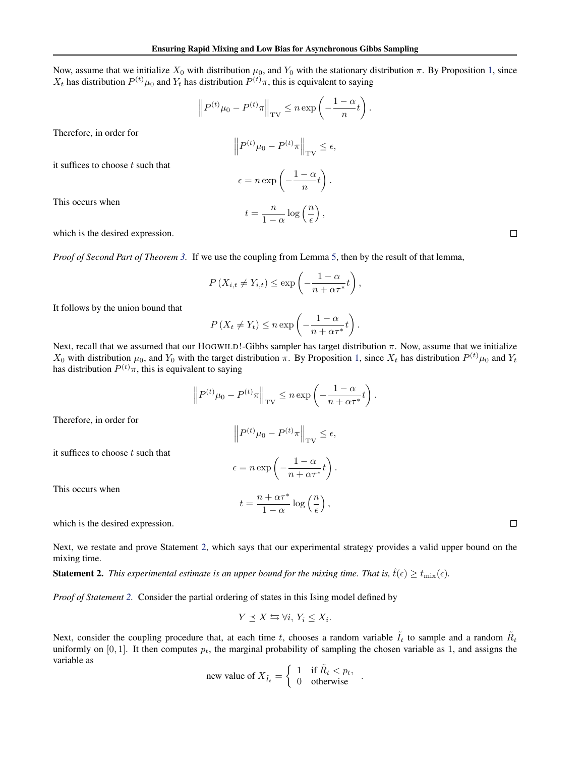Now, assume that we initialize  $X_0$  with distribution  $\mu_0$ , and  $Y_0$  with the stationary distribution  $\pi$ . By Proposition [1,](#page-10-0) since  $X_t$  has distribution  $P^{(t)}\mu_0$  and  $Y_t$  has distribution  $P^{(t)}\pi$ , this is equivalent to saying

$$
\left\| P^{(t)} \mu_0 - P^{(t)} \pi \right\|_{\text{TV}} \le n \exp \left( -\frac{1 - \alpha}{n} t \right)
$$

.

Therefore, in order for

$$
\left\| P^{(t)} \mu_0 - P^{(t)} \pi \right\|_{\text{TV}} \le \epsilon,
$$
  

$$
\epsilon = n \exp \left( -\frac{1 - \alpha}{n} t \right).
$$

 $\frac{n}{1-\alpha}\log\left(\frac{n}{\epsilon}\right)$ 

 $),$ 

it suffices to choose  $t$  such that

This occurs when

which is the desired expression.

*Proof of Second Part of Theorem [3.](#page-6-0)* If we use the coupling from Lemma [5,](#page-11-0) then by the result of that lemma,

 $t=\frac{n}{1}$ 

$$
P(X_{i,t} \neq Y_{i,t}) \leq \exp\left(-\frac{1-\alpha}{n+\alpha\tau^*}t\right),\,
$$

It follows by the union bound that

$$
P(X_t \neq Y_t) \leq n \exp\left(-\frac{1-\alpha}{n+\alpha\tau^*}t\right).
$$

Next, recall that we assumed that our HOGWILD!-Gibbs sampler has target distribution  $\pi$ . Now, assume that we initialize  $X_0$  with distribution  $\mu_0$ , and  $Y_0$  with the target distribution  $\pi$ . By Proposition [1,](#page-10-0) since  $X_t$  has distribution  $P^{(t)}\mu_0$  and  $Y_t$ has distribution  $P^{(t)}\pi$ , this is equivalent to saying

$$
\left\| P^{(t)} \mu_0 - P^{(t)} \pi \right\|_{\text{TV}} \le n \exp \left( -\frac{1 - \alpha}{n + \alpha \tau^*} t \right).
$$

Therefore, in order for

$$
\left\| P^{(t)} \mu_0 - P^{(t)} \pi \right\|_{\text{TV}} \le \epsilon,
$$

it suffices to choose  $t$  such that

$$
\epsilon = n \exp\left(-\frac{1-\alpha}{n+\alpha\tau^*}t\right).
$$

 $\frac{1 + \alpha \tau^*}{1 - \alpha} \log \left( \frac{n}{\epsilon} \right)$ 

 $\big)$ ,

 $t = \frac{n + \alpha \tau^*}{1}$ 

This occurs when

which is the desired expression.

Next, we restate and prove Statement [2,](#page-7-0) which says that our experimental strategy provides a valid upper bound on the mixing time.

**Statement 2.** This experimental estimate is an upper bound for the mixing time. That is,  $\hat{t}(\epsilon) \ge t_{\rm mix}(\epsilon)$ .

*Proof of Statement [2.](#page-7-0)* Consider the partial ordering of states in this Ising model defined by

$$
Y \preceq X \leftrightarrows \forall i, Y_i \leq X_i.
$$

Next, consider the coupling procedure that, at each time t, chooses a random variable  $\tilde{I}_t$  to sample and a random  $\tilde{R}_t$ uniformly on  $[0, 1]$ . It then computes  $p_t$ , the marginal probability of sampling the chosen variable as 1, and assigns the variable as

$$
\text{new value of } X_{\tilde{I}_t} = \begin{cases} 1 & \text{if } \tilde{R}_t < p_t, \\ 0 & \text{otherwise} \end{cases}
$$

 $\Box$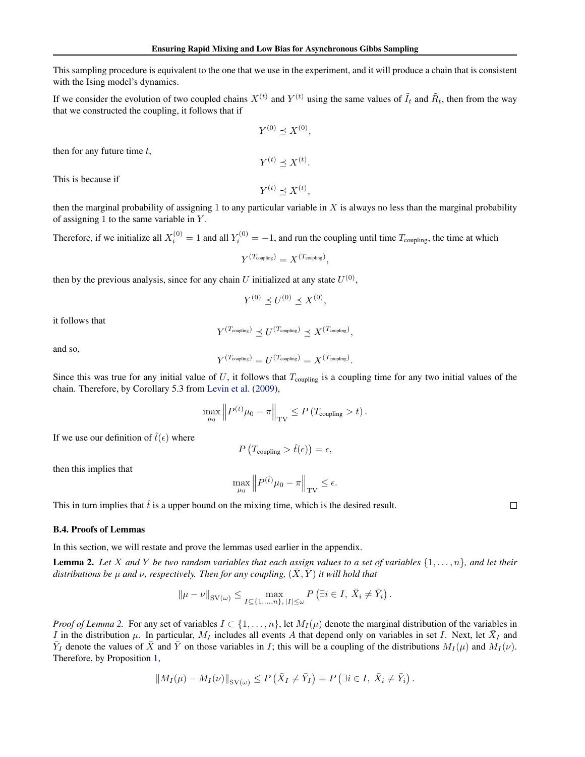This sampling procedure is equivalent to the one that we use in the experiment, and it will produce a chain that is consistent with the Ising model's dynamics.

If we consider the evolution of two coupled chains  $X^{(t)}$  and  $Y^{(t)}$  using the same values of  $\tilde{I}_t$  and  $\tilde{R}_t$ , then from the way that we constructed the coupling, it follows that if

$$
Y^{(0)} \preceq X^{(0)},
$$

then for any future time  $t$ ,

This is because if

 $Y^{(t)} \preceq X^{(t)},$ 

 $Y^{(t)} \preceq X^{(t)}$ .

then the marginal probability of assigning 1 to any particular variable in  $X$  is always no less than the marginal probability of assigning 1 to the same variable in  $Y$ .

Therefore, if we initialize all  $X_i^{(0)} = 1$  and all  $Y_i^{(0)} = -1$ , and run the coupling until time  $T_{\text{coupling}}$ , the time at which

$$
Y^{(T_{\text{coupling}})} = X^{(T_{\text{coupling}})},
$$

then by the previous analysis, since for any chain U initialized at any state  $U^{(0)}$ ,

$$
Y^{(0)} \preceq U^{(0)} \preceq X^{(0)},
$$

it follows that

and so,

$$
Y^{(T_{\text{coupling}})} \preceq U^{(T_{\text{coupling}})} \preceq X^{(T_{\text{coupling}})},
$$

$$
Y^{(T_{\text{coupling}})} = U^{(T_{\text{coupling}})} = X^{(T_{\text{coupling}})}.
$$

Since this was true for any initial value of U, it follows that  $T_{\text{coupling}}$  is a coupling time for any two initial values of the chain. Therefore, by Corollary 5.3 from [Levin et al.](#page-8-0) [\(2009\)](#page-8-0),

$$
\max_{\mu_0} \left\| P^{(t)} \mu_0 - \pi \right\|_{\text{TV}} \le P \left( T_{\text{coupling}} > t \right).
$$

If we use our definition of  $\hat{t}(\epsilon)$  where

$$
P\left(T_{\text{coupling}} > \hat{t}(\epsilon)\right) = \epsilon,
$$

then this implies that

$$
\max_{\mu_0}\left\|P^{(\hat{t})}\mu_0-\pi\right\|_{\text{TV}}\leq \epsilon.
$$

This in turn implies that  $\hat{t}$  is a upper bound on the mixing time, which is the desired result.

B.4. Proofs of Lemmas

In this section, we will restate and prove the lemmas used earlier in the appendix.

Lemma 2. *Let* X *and* Y *be two random variables that each assign values to a set of variables* {1, . . . , n}*, and let their distributions be*  $\mu$  *and*  $\nu$ , *respectively. Then for any coupling,*  $(\bar{X}, \bar{Y})$  *it will hold that* 

$$
\|\mu - \nu\|_{\text{SV}(\omega)} \le \max_{I \subseteq \{1, \dots, n\}, |I| \le \omega} P\left(\exists i \in I, \ \bar{X}_i \neq \bar{Y}_i\right).
$$

*Proof of Lemma* [2.](#page-10-0) For any set of variables  $I \subset \{1, \ldots, n\}$ , let  $M_I(\mu)$  denote the marginal distribution of the variables in I in the distribution  $\mu$ . In particular,  $M_I$  includes all events A that depend only on variables in set I. Next, let  $\bar{X}_I$  and  $\bar{Y}_I$  denote the values of  $\bar{X}$  and  $\bar{Y}$  on those variables in I; this will be a coupling of the distributions  $M_I(\mu)$  and  $M_I(\nu)$ . Therefore, by Proposition [1,](#page-10-0)

$$
||M_I(\mu) - M_I(\nu)||_{\text{SV}(\omega)} \leq P\left(\bar{X}_I \neq \bar{Y}_I\right) = P\left(\exists i \in I, \ \bar{X}_i \neq \bar{Y}_i\right).
$$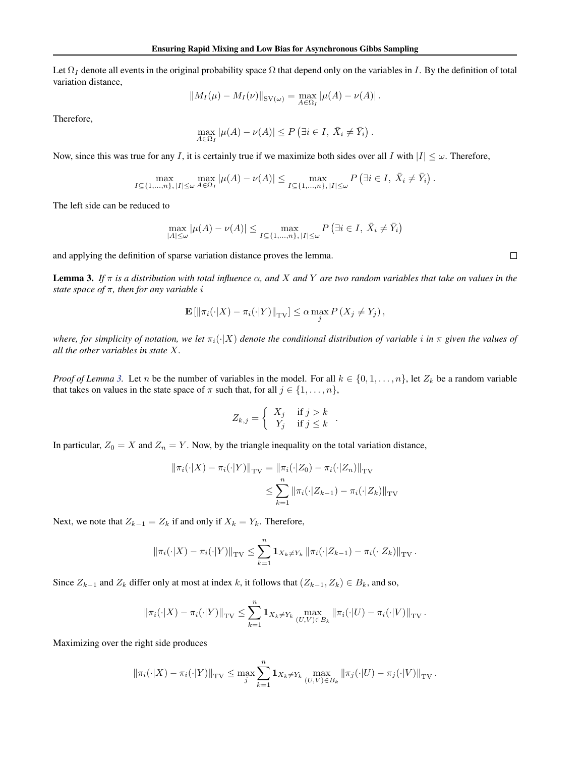Let  $\Omega_I$  denote all events in the original probability space  $\Omega$  that depend only on the variables in I. By the definition of total variation distance,

$$
||M_I(\mu) - M_I(\nu)||_{\text{SV}(\omega)} = \max_{A \in \Omega_I} |\mu(A) - \nu(A)|.
$$

Therefore,

$$
\max_{A \in \Omega_I} |\mu(A) - \nu(A)| \le P \left( \exists i \in I, \ \bar{X}_i \neq \bar{Y}_i \right).
$$

Now, since this was true for any I, it is certainly true if we maximize both sides over all I with  $|I| \leq \omega$ . Therefore,

$$
\max_{I \subseteq \{1,\ldots,n\}, |I| \leq \omega} \max_{A \in \Omega_I} |\mu(A) - \nu(A)| \leq \max_{I \subseteq \{1,\ldots,n\}, |I| \leq \omega} P\left(\exists i \in I, \ \bar{X}_i \neq \bar{Y}_i\right).
$$

The left side can be reduced to

$$
\max_{|A| \le \omega} |\mu(A) - \nu(A)| \le \max_{I \subseteq \{1, ..., n\}, |I| \le \omega} P\left(\exists i \in I, \ \bar{X}_i \neq \bar{Y}_i\right)
$$

and applying the definition of sparse variation distance proves the lemma.

Lemma 3. *If* π *is a distribution with total influence* α*, and* X *and* Y *are two random variables that take on values in the state space of* π*, then for any variable* i

$$
\mathbf{E}\left[\left\|\pi_i(\cdot|X) - \pi_i(\cdot|Y)\right\|_{\mathrm{TV}}\right] \leq \alpha \max_j P\left(X_j \neq Y_j\right),
$$

*where, for simplicity of notation, we let*  $\pi_i(\cdot|X)$  *denote the conditional distribution of variable i in*  $\pi$  *given the values of all the other variables in state* X*.*

*Proof of Lemma* [3.](#page-10-0) Let n be the number of variables in the model. For all  $k \in \{0, 1, \ldots, n\}$ , let  $Z_k$  be a random variable that takes on values in the state space of  $\pi$  such that, for all  $j \in \{1, \ldots, n\}$ ,

$$
Z_{k,j} = \begin{cases} X_j & \text{if } j > k \\ Y_j & \text{if } j \leq k \end{cases}.
$$

In particular,  $Z_0 = X$  and  $Z_n = Y$ . Now, by the triangle inequality on the total variation distance,

$$
\|\pi_i(\cdot|X) - \pi_i(\cdot|Y)\|_{\text{TV}} = \|\pi_i(\cdot|Z_0) - \pi_i(\cdot|Z_n)\|_{\text{TV}}
$$
  

$$
\leq \sum_{k=1}^n \|\pi_i(\cdot|Z_{k-1}) - \pi_i(\cdot|Z_k)\|_{\text{TV}}
$$

Next, we note that  $Z_{k-1} = Z_k$  if and only if  $X_k = Y_k$ . Therefore,

$$
\|\pi_i(\cdot|X) - \pi_i(\cdot|Y)\|_{\text{TV}} \leq \sum_{k=1}^n \mathbf{1}_{X_k \neq Y_k} \|\pi_i(\cdot|Z_{k-1}) - \pi_i(\cdot|Z_k)\|_{\text{TV}}.
$$

Since  $Z_{k-1}$  and  $Z_k$  differ only at most at index k, it follows that  $(Z_{k-1}, Z_k) \in B_k$ , and so,

$$
\|\pi_i(\cdot|X) - \pi_i(\cdot|Y)\|_{\text{TV}} \leq \sum_{k=1}^n \mathbf{1}_{X_k \neq Y_k} \max_{(U,V) \in B_k} \|\pi_i(\cdot|U) - \pi_i(\cdot|V)\|_{\text{TV}}.
$$

Maximizing over the right side produces

$$
\|\pi_i(\cdot|X) - \pi_i(\cdot|Y)\|_{\text{TV}} \leq \max_{j} \sum_{k=1}^n \mathbf{1}_{X_k \neq Y_k} \max_{(U,V) \in B_k} \|\pi_j(\cdot|U) - \pi_j(\cdot|V)\|_{\text{TV}}.
$$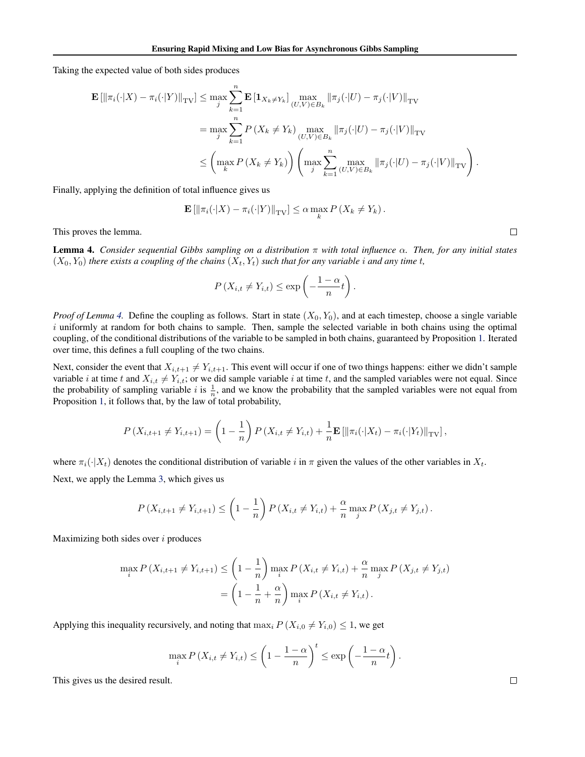Taking the expected value of both sides produces

$$
\mathbf{E} \left[ \left\| \pi_i(\cdot|X) - \pi_i(\cdot|Y) \right\|_{\text{TV}} \right] \leq \max_{j} \sum_{k=1}^n \mathbf{E} \left[ \mathbf{1}_{X_k \neq Y_k} \right] \max_{(U, V) \in B_k} \left\| \pi_j(\cdot|U) - \pi_j(\cdot|V) \right\|_{\text{TV}}
$$
\n
$$
= \max_{j} \sum_{k=1}^n P\left(X_k \neq Y_k\right) \max_{(U, V) \in B_k} \left\| \pi_j(\cdot|U) - \pi_j(\cdot|V) \right\|_{\text{TV}}
$$
\n
$$
\leq \left( \max_{k} P\left(X_k \neq Y_k\right) \right) \left( \max_{j} \sum_{k=1}^n \max_{(U, V) \in B_k} \left\| \pi_j(\cdot|U) - \pi_j(\cdot|V) \right\|_{\text{TV}} \right).
$$

Finally, applying the definition of total influence gives us

$$
\mathbf{E} \left[ \left\| \pi_i(\cdot|X) - \pi_i(\cdot|Y) \right\|_{\mathrm{TV}} \right] \leq \alpha \max_k P\left(X_k \neq Y_k\right).
$$

This proves the lemma.

Lemma 4. *Consider sequential Gibbs sampling on a distribution* π *with total influence* α*. Then, for any initial states*  $(X_0, Y_0)$  *there exists a coupling of the chains*  $(X_t, Y_t)$  *such that for any variable i and any time t*,

$$
P(X_{i,t} \neq Y_{i,t}) \leq \exp\left(-\frac{1-\alpha}{n}t\right).
$$

*Proof of Lemma* [4.](#page-11-0) Define the coupling as follows. Start in state  $(X_0, Y_0)$ , and at each timestep, choose a single variable  $i$  uniformly at random for both chains to sample. Then, sample the selected variable in both chains using the optimal coupling, of the conditional distributions of the variable to be sampled in both chains, guaranteed by Proposition [1.](#page-10-0) Iterated over time, this defines a full coupling of the two chains.

Next, consider the event that  $X_{i,t+1} \neq Y_{i,t+1}$ . This event will occur if one of two things happens: either we didn't sample variable i at time t and  $X_{i,t} \neq Y_{i,t}$ ; or we did sample variable i at time t, and the sampled variables were not equal. Since the probability of sampling variable i is  $\frac{1}{n}$ , and we know the probability that the sampled variables were not equal from Proposition [1,](#page-10-0) it follows that, by the law of total probability,

$$
P(X_{i,t+1} \neq Y_{i,t+1}) = \left(1 - \frac{1}{n}\right) P(X_{i,t} \neq Y_{i,t}) + \frac{1}{n} \mathbf{E} [\|\pi_i(\cdot|X_t) - \pi_i(\cdot|Y_t)\|_{TV}],
$$

where  $\pi_i(\cdot|X_t)$  denotes the conditional distribution of variable i in  $\pi$  given the values of the other variables in  $X_t$ . Next, we apply the Lemma [3,](#page-10-0) which gives us

$$
P(X_{i,t+1} \neq Y_{i,t+1}) \leq \left(1 - \frac{1}{n}\right) P(X_{i,t} \neq Y_{i,t}) + \frac{\alpha}{n} \max_{j} P(X_{j,t} \neq Y_{j,t}).
$$

Maximizing both sides over  $i$  produces

$$
\max_{i} P(X_{i,t+1} \neq Y_{i,t+1}) \leq \left(1 - \frac{1}{n}\right) \max_{i} P(X_{i,t} \neq Y_{i,t}) + \frac{\alpha}{n} \max_{j} P(X_{j,t} \neq Y_{j,t})
$$

$$
= \left(1 - \frac{1}{n} + \frac{\alpha}{n}\right) \max_{i} P(X_{i,t} \neq Y_{i,t}).
$$

Applying this inequality recursively, and noting that  $\max_i P(X_{i,0} \neq Y_{i,0}) \leq 1$ , we get

$$
\max_{i} P(X_{i,t} \neq Y_{i,t}) \leq \left(1 - \frac{1-\alpha}{n}\right)^t \leq \exp\left(-\frac{1-\alpha}{n}t\right).
$$

This gives us the desired result.

$$
\Box
$$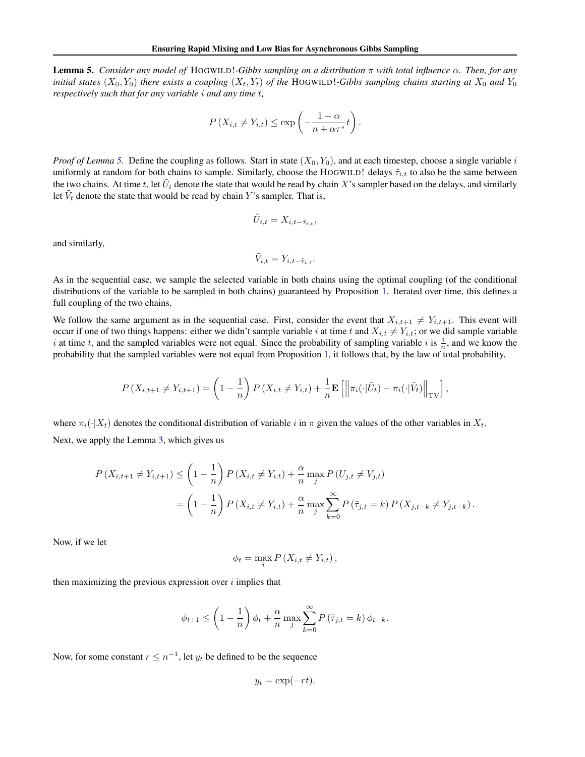Lemma 5. *Consider any model of* HOGWILD!*-Gibbs sampling on a distribution* π *with total influence* α*. Then, for any initial states*  $(X_0, Y_0)$  *there exists a coupling*  $(X_t, Y_t)$  *of the* HOGWILD!*-Gibbs sampling chains starting at*  $X_0$  *and*  $Y_0$ *respectively such that for any variable* i *and any time* t*,*

$$
P(X_{i,t} \neq Y_{i,t}) \leq \exp\left(-\frac{1-\alpha}{n+\alpha\tau^*}t\right).
$$

*Proof of Lemma* [5.](#page-11-0) Define the coupling as follows. Start in state  $(X_0, Y_0)$ , and at each timestep, choose a single variable i uniformly at random for both chains to sample. Similarly, choose the HOGWILD! delays  $\tilde{\tau}_{i,t}$  to also be the same between the two chains. At time t, let  $\tilde{U}_t$  denote the state that would be read by chain X's sampler based on the delays, and similarly let  $\tilde{V}_t$  denote the state that would be read by chain Y's sampler. That is,

$$
\tilde{U}_{i,t} = X_{i,t-\tilde{\tau}_{i,t}},
$$

and similarly,

$$
\tilde{V}_{i,t} = Y_{i,t-\tilde{\tau}_{i,t}}.
$$

As in the sequential case, we sample the selected variable in both chains using the optimal coupling (of the conditional distributions of the variable to be sampled in both chains) guaranteed by Proposition [1.](#page-10-0) Iterated over time, this defines a full coupling of the two chains.

We follow the same argument as in the sequential case. First, consider the event that  $X_{i,t+1} \neq Y_{i,t+1}$ . This event will occur if one of two things happens: either we didn't sample variable i at time t and  $X_{i,t} \neq Y_{i,t}$ ; or we did sample variable i at time t, and the sampled variables were not equal. Since the probability of sampling variable i is  $\frac{1}{n}$ , and we know the probability that the sampled variables were not equal from Proposition [1,](#page-10-0) it follows that, by the law of total probability,

$$
P\left(X_{i,t+1} \neq Y_{i,t+1}\right) = \left(1 - \frac{1}{n}\right) P\left(X_{i,t} \neq Y_{i,t}\right) + \frac{1}{n} \mathbf{E}\left[\left\|\pi_i(\cdot|\tilde{U}_t) - \pi_i(\cdot|\tilde{V}_t)\right\|_{\text{TV}}\right],
$$

where  $\pi_i(\cdot|X_t)$  denotes the conditional distribution of variable i in  $\pi$  given the values of the other variables in  $X_t$ . Next, we apply the Lemma [3,](#page-10-0) which gives us

$$
P(X_{i,t+1} \neq Y_{i,t+1}) \leq \left(1 - \frac{1}{n}\right) P(X_{i,t} \neq Y_{i,t}) + \frac{\alpha}{n} \max_{j} P(U_{j,t} \neq V_{j,t})
$$
  
= 
$$
\left(1 - \frac{1}{n}\right) P(X_{i,t} \neq Y_{i,t}) + \frac{\alpha}{n} \max_{j} \sum_{k=0}^{\infty} P(\tilde{\tau}_{j,t} = k) P(X_{j,t-k} \neq Y_{j,t-k}).
$$

Now, if we let

$$
\phi_t = \max_i P\left(X_{i,t} \neq Y_{i,t}\right),\,
$$

then maximizing the previous expression over  $i$  implies that

$$
\phi_{t+1} \le \left(1 - \frac{1}{n}\right)\phi_t + \frac{\alpha}{n}\max_j \sum_{k=0}^{\infty} P\left(\tilde{\tau}_{j,t} = k\right)\phi_{t-k}.
$$

Now, for some constant  $r \leq n^{-1}$ , let  $y_t$  be defined to be the sequence

$$
y_t = \exp(-rt).
$$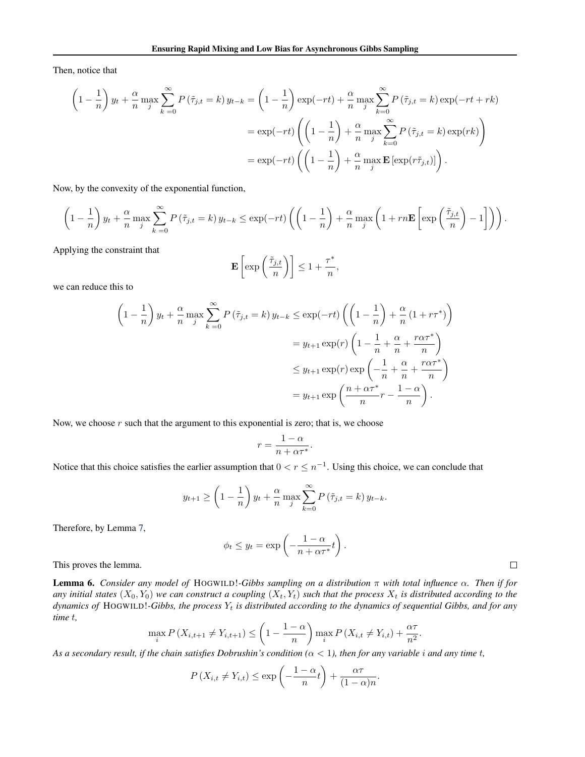Then, notice that

$$
\left(1 - \frac{1}{n}\right)y_t + \frac{\alpha}{n} \max_j \sum_{k=0}^{\infty} P\left(\tilde{\tau}_{j,t} = k\right)y_{t-k} = \left(1 - \frac{1}{n}\right) \exp(-rt) + \frac{\alpha}{n} \max_j \sum_{k=0}^{\infty} P\left(\tilde{\tau}_{j,t} = k\right) \exp(-rt + rk)
$$

$$
= \exp(-rt) \left(\left(1 - \frac{1}{n}\right) + \frac{\alpha}{n} \max_j \sum_{k=0}^{\infty} P\left(\tilde{\tau}_{j,t} = k\right) \exp(rk)\right)
$$

$$
= \exp(-rt) \left(\left(1 - \frac{1}{n}\right) + \frac{\alpha}{n} \max_j \mathbf{E}\left[\exp(r\tilde{\tau}_{j,t})\right]\right).
$$

Now, by the convexity of the exponential function,

$$
\left(1-\frac{1}{n}\right)y_t + \frac{\alpha}{n}\max_j \sum_{k=0}^{\infty} P\left(\tilde{\tau}_{j,t}=k\right)y_{t-k} \le \exp(-rt)\left(\left(1-\frac{1}{n}\right) + \frac{\alpha}{n}\max_j \left(1+rn\mathbf{E}\left[\exp\left(\frac{\tilde{\tau}_{j,t}}{n}\right)-1\right]\right)\right).
$$

Applying the constraint that

$$
\mathbf{E}\left[\exp\left(\frac{\tilde{\tau}_{j,t}}{n}\right)\right] \le 1 + \frac{\tau^*}{n},
$$

we can reduce this to

$$
\left(1 - \frac{1}{n}\right)y_t + \frac{\alpha}{n} \max_{j} \sum_{k=0}^{\infty} P\left(\tilde{\tau}_{j,t} = k\right) y_{t-k} \le \exp(-rt) \left(\left(1 - \frac{1}{n}\right) + \frac{\alpha}{n} \left(1 + r\tau^*\right)\right)
$$

$$
= y_{t+1} \exp(r) \left(1 - \frac{1}{n} + \frac{\alpha}{n} + \frac{r\alpha\tau^*}{n}\right)
$$

$$
\le y_{t+1} \exp(r) \exp\left(-\frac{1}{n} + \frac{\alpha}{n} + \frac{r\alpha\tau^*}{n}\right)
$$

$$
= y_{t+1} \exp\left(\frac{n + \alpha\tau^*}{n} - \frac{1 - \alpha}{n}\right).
$$

Now, we choose  $r$  such that the argument to this exponential is zero; that is, we choose

$$
r = \frac{1 - \alpha}{n + \alpha \tau^*}.
$$

Notice that this choice satisfies the earlier assumption that  $0 < r \leq n^{-1}$ . Using this choice, we can conclude that

$$
y_{t+1} \ge \left(1 - \frac{1}{n}\right) y_t + \frac{\alpha}{n} \max_{j} \sum_{k=0}^{\infty} P\left(\tilde{\tau}_{j,t} = k\right) y_{t-k}.
$$

Therefore, by Lemma [7,](#page-11-0)

$$
\phi_t \leq y_t = \exp\left(-\frac{1-\alpha}{n+\alpha\tau^*}t\right).
$$

 $\Box$ 

This proves the lemma.

Lemma 6. *Consider any model of* HOGWILD!*-Gibbs sampling on a distribution* π *with total influence* α*. Then if for* any initial states  $(X_0, Y_0)$  we can construct a coupling  $(X_t, Y_t)$  such that the process  $X_t$  is distributed according to the *dynamics of* HOGWILD!*-Gibbs, the process* Y<sup>t</sup> *is distributed according to the dynamics of sequential Gibbs, and for any time* t*,*

$$
\max_{i} P(X_{i,t+1} \neq Y_{i,t+1}) \leq \left(1 - \frac{1 - \alpha}{n}\right) \max_{i} P(X_{i,t} \neq Y_{i,t}) + \frac{\alpha \tau}{n^2}.
$$

As a secondary result, if the chain satisfies Dobrushin's condition  $(\alpha < 1)$ , then for any variable *i* and any time *t*,

$$
P(X_{i,t} \neq Y_{i,t}) \leq \exp\left(-\frac{1-\alpha}{n}t\right) + \frac{\alpha\tau}{(1-\alpha)n}.
$$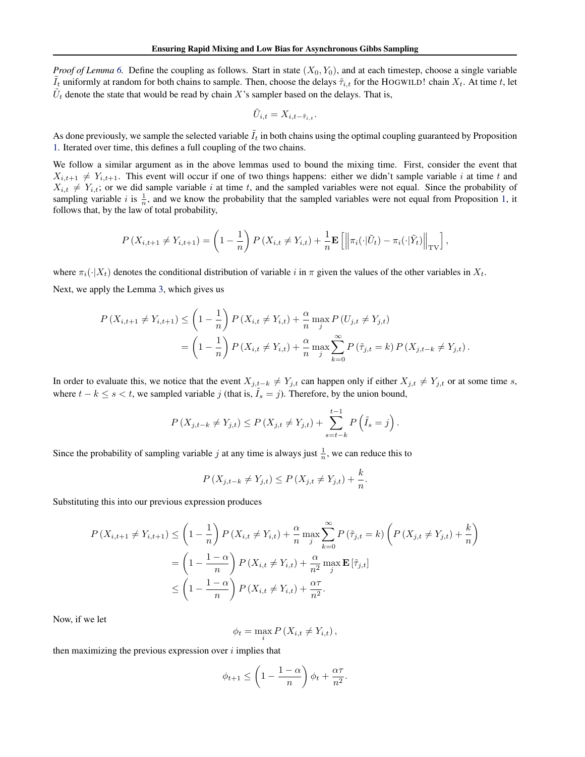*Proof of Lemma* [6.](#page-11-0) Define the coupling as follows. Start in state  $(X_0, Y_0)$ , and at each timestep, choose a single variable  $I_t$  uniformly at random for both chains to sample. Then, choose the delays  $\tilde{\tau}_{i,t}$  for the HOGWILD! chain  $X_t$ . At time t, let  $\tilde{U}_t$  denote the state that would be read by chain X's sampler based on the delays. That is,

$$
\tilde{U}_{i,t} = X_{i,t-\tilde{\tau}_{i,t}}.
$$

As done previously, we sample the selected variable  $\tilde{I}_t$  in both chains using the optimal coupling guaranteed by Proposition [1.](#page-10-0) Iterated over time, this defines a full coupling of the two chains.

We follow a similar argument as in the above lemmas used to bound the mixing time. First, consider the event that  $X_{i,t+1} \neq Y_{i,t+1}$ . This event will occur if one of two things happens: either we didn't sample variable i at time t and  $X_{i,t} \neq Y_{i,t}$ ; or we did sample variable i at time t, and the sampled variables were not equal. Since the probability of sampling variable i is  $\frac{1}{n}$ , and we know the probability that the sampled variables were not equal from Proposition [1,](#page-10-0) it follows that, by the law of total probability,

$$
P\left(X_{i,t+1} \neq Y_{i,t+1}\right) = \left(1 - \frac{1}{n}\right) P\left(X_{i,t} \neq Y_{i,t}\right) + \frac{1}{n} \mathbf{E}\left[\left\|\pi_i(\cdot|\tilde{U}_t) - \pi_i(\cdot|\tilde{Y}_t)\right\|_{\text{TV}}\right],
$$

where  $\pi_i(\cdot|X_t)$  denotes the conditional distribution of variable i in  $\pi$  given the values of the other variables in  $X_t$ . Next, we apply the Lemma [3,](#page-10-0) which gives us

$$
P(X_{i,t+1} \neq Y_{i,t+1}) \leq \left(1 - \frac{1}{n}\right) P(X_{i,t} \neq Y_{i,t}) + \frac{\alpha}{n} \max_{j} P(U_{j,t} \neq Y_{j,t})
$$
  
= 
$$
\left(1 - \frac{1}{n}\right) P(X_{i,t} \neq Y_{i,t}) + \frac{\alpha}{n} \max_{j} \sum_{k=0}^{\infty} P(\tilde{\tau}_{j,t} = k) P(X_{j,t-k} \neq Y_{j,t}).
$$

In order to evaluate this, we notice that the event  $X_{j,t-k} \neq Y_{j,t}$  can happen only if either  $X_{j,t} \neq Y_{j,t}$  or at some time s, where  $t - k \leq s < t$ , we sampled variable j (that is,  $\hat{I}_s = j$ ). Therefore, by the union bound,

$$
P(X_{j,t-k} \neq Y_{j,t}) \leq P(X_{j,t} \neq Y_{j,t}) + \sum_{s=t-k}^{t-1} P\left(\tilde{I}_s = j\right).
$$

Since the probability of sampling variable j at any time is always just  $\frac{1}{n}$ , we can reduce this to

$$
P(X_{j,t-k} \neq Y_{j,t}) \leq P(X_{j,t} \neq Y_{j,t}) + \frac{k}{n}.
$$

Substituting this into our previous expression produces

$$
P(X_{i,t+1} \neq Y_{i,t+1}) \leq \left(1 - \frac{1}{n}\right) P(X_{i,t} \neq Y_{i,t}) + \frac{\alpha}{n} \max_{j} \sum_{k=0}^{\infty} P(\tilde{\tau}_{j,t} = k) \left(P(X_{j,t} \neq Y_{j,t}) + \frac{k}{n}\right)
$$
  
= 
$$
\left(1 - \frac{1-\alpha}{n}\right) P(X_{i,t} \neq Y_{i,t}) + \frac{\alpha}{n^2} \max_{j} \mathbf{E}[\tilde{\tau}_{j,t}]
$$
  

$$
\leq \left(1 - \frac{1-\alpha}{n}\right) P(X_{i,t} \neq Y_{i,t}) + \frac{\alpha\tau}{n^2}.
$$

Now, if we let

$$
\phi_t = \max_i P\left(X_{i,t} \neq Y_{i,t}\right),\,
$$

then maximizing the previous expression over  $i$  implies that

$$
\phi_{t+1} \le \left(1 - \frac{1-\alpha}{n}\right)\phi_t + \frac{\alpha\tau}{n^2}.
$$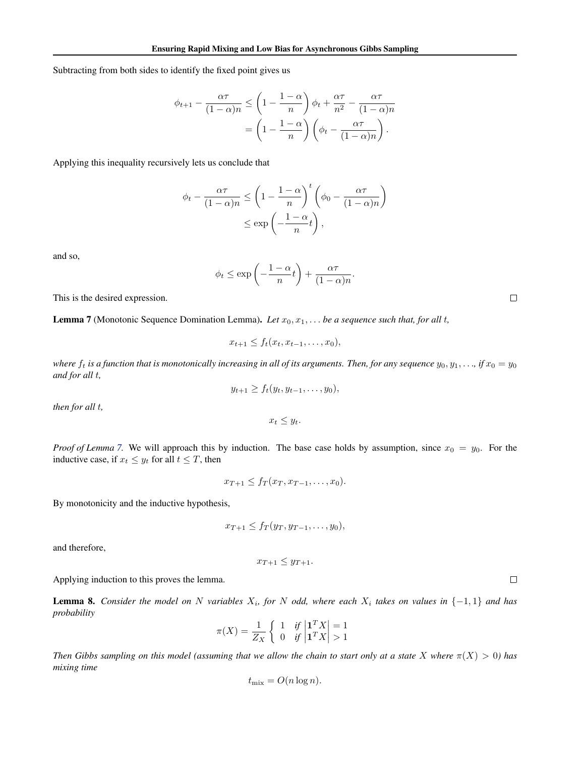Subtracting from both sides to identify the fixed point gives us

$$
\phi_{t+1} - \frac{\alpha \tau}{(1-\alpha)n} \le \left(1 - \frac{1-\alpha}{n}\right)\phi_t + \frac{\alpha \tau}{n^2} - \frac{\alpha \tau}{(1-\alpha)n}
$$

$$
= \left(1 - \frac{1-\alpha}{n}\right)\left(\phi_t - \frac{\alpha \tau}{(1-\alpha)n}\right).
$$

Applying this inequality recursively lets us conclude that

$$
\phi_t - \frac{\alpha \tau}{(1 - \alpha)n} \le \left(1 - \frac{1 - \alpha}{n}\right)^t \left(\phi_0 - \frac{\alpha \tau}{(1 - \alpha)n}\right)
$$

$$
\le \exp\left(-\frac{1 - \alpha}{n}t\right),
$$

and so,

$$
\phi_t \le \exp\left(-\frac{1-\alpha}{n}t\right) + \frac{\alpha\tau}{(1-\alpha)n}.
$$

This is the desired expression.

**Lemma 7** (Monotonic Sequence Domination Lemma). Let  $x_0, x_1, \ldots$  be a sequence such that, for all t,

$$
x_{t+1} \leq f_t(x_t, x_{t-1}, \ldots, x_0),
$$

*where*  $f_t$  *is a function that is monotonically increasing in all of its arguments. Then, for any sequence*  $y_0, y_1, \ldots$ , *if*  $x_0 = y_0$ *and for all* t*,*

$$
y_{t+1} \geq f_t(y_t, y_{t-1}, \ldots, y_0),
$$

*then for all* t*,*

 $x_t \leq y_t$ .

*Proof of Lemma* [7.](#page-11-0) We will approach this by induction. The base case holds by assumption, since  $x_0 = y_0$ . For the inductive case, if  $x_t \leq y_t$  for all  $t \leq T$ , then

$$
x_{T+1} \leq f_T(x_T, x_{T-1}, \dots, x_0).
$$

By monotonicity and the inductive hypothesis,

$$
x_{T+1} \leq f_T(y_T, y_{T-1}, \ldots, y_0),
$$

and therefore,

$$
x_{T+1} \leq y_{T+1}.
$$

Applying induction to this proves the lemma.

**Lemma 8.** Consider the model on N variables  $X_i$ , for N odd, where each  $X_i$  takes on values in  $\{-1,1\}$  and has *probability*

$$
\pi(X) = \frac{1}{Z_X} \left\{ \begin{array}{ll} 1 & \text{if } \left| \mathbf{1}^T X \right| = 1 \\ 0 & \text{if } \left| \mathbf{1}^T X \right| > 1 \end{array} \right.
$$

*Then Gibbs sampling on this model (assuming that we allow the chain to start only at a state* X where  $\pi(X) > 0$ ) has *mixing time*

$$
t_{\text{mix}} = O(n \log n).
$$

 $\Box$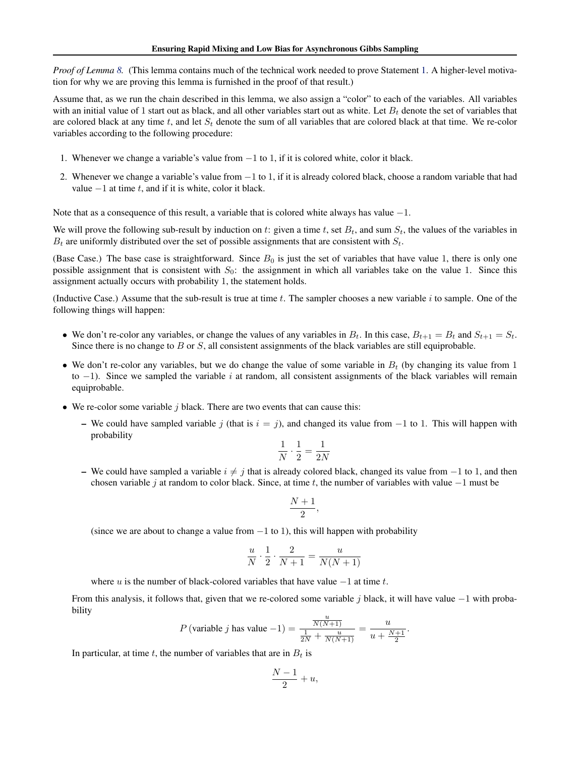*Proof of Lemma [8.](#page-11-0)* (This lemma contains much of the technical work needed to prove Statement [1.](#page-5-0) A higher-level motivation for why we are proving this lemma is furnished in the proof of that result.)

Assume that, as we run the chain described in this lemma, we also assign a "color" to each of the variables. All variables with an initial value of 1 start out as black, and all other variables start out as white. Let  $B_t$  denote the set of variables that are colored black at any time t, and let  $S_t$  denote the sum of all variables that are colored black at that time. We re-color variables according to the following procedure:

- 1. Whenever we change a variable's value from −1 to 1, if it is colored white, color it black.
- 2. Whenever we change a variable's value from −1 to 1, if it is already colored black, choose a random variable that had value  $-1$  at time t, and if it is white, color it black.

Note that as a consequence of this result, a variable that is colored white always has value −1.

We will prove the following sub-result by induction on t: given a time t, set  $B_t$ , and sum  $S_t$ , the values of the variables in  $B_t$  are uniformly distributed over the set of possible assignments that are consistent with  $S_t$ .

(Base Case.) The base case is straightforward. Since  $B_0$  is just the set of variables that have value 1, there is only one possible assignment that is consistent with  $S_0$ : the assignment in which all variables take on the value 1. Since this assignment actually occurs with probability 1, the statement holds.

(Inductive Case.) Assume that the sub-result is true at time  $t$ . The sampler chooses a new variable  $i$  to sample. One of the following things will happen:

- We don't re-color any variables, or change the values of any variables in  $B_t$ . In this case,  $B_{t+1} = B_t$  and  $S_{t+1} = S_t$ . Since there is no change to  $B$  or  $S$ , all consistent assignments of the black variables are still equiprobable.
- We don't re-color any variables, but we do change the value of some variable in  $B_t$  (by changing its value from 1 to  $-1$ ). Since we sampled the variable i at random, all consistent assignments of the black variables will remain equiprobable.
- We re-color some variable  $j$  black. There are two events that can cause this:
	- We could have sampled variable j (that is  $i = j$ ), and changed its value from  $-1$  to 1. This will happen with probability

$$
\frac{1}{N} \cdot \frac{1}{2} = \frac{1}{2N}
$$

– We could have sampled a variable  $i \neq j$  that is already colored black, changed its value from  $-1$  to 1, and then chosen variable j at random to color black. Since, at time t, the number of variables with value  $-1$  must be

$$
\frac{N+1}{2},
$$

(since we are about to change a value from  $-1$  to 1), this will happen with probability

$$
\frac{u}{N} \cdot \frac{1}{2} \cdot \frac{2}{N+1} = \frac{u}{N(N+1)}
$$

where u is the number of black-colored variables that have value  $-1$  at time t.

From this analysis, it follows that, given that we re-colored some variable j black, it will have value  $-1$  with probability

$$
P(\text{variable } j \text{ has value } -1) = \frac{\frac{u}{N(N+1)}}{\frac{1}{2N} + \frac{u}{N(N+1)}} = \frac{u}{u + \frac{N+1}{2}}.
$$

In particular, at time t, the number of variables that are in  $B_t$  is

$$
\frac{N-1}{2} + u,
$$